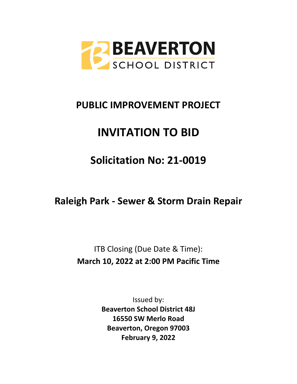

# **PUBLIC IMPROVEMENT PROJECT**

# **INVITATION TO BID**

# **Solicitation No: 21-0019**

**Raleigh Park - Sewer & Storm Drain Repair** 

ITB Closing (Due Date & Time): **March 10, 2022 at 2:00 PM Pacific Time**

> Issued by: **Beaverton School District 48J 16550 SW Merlo Road Beaverton, Oregon 97003 February 9, 2022**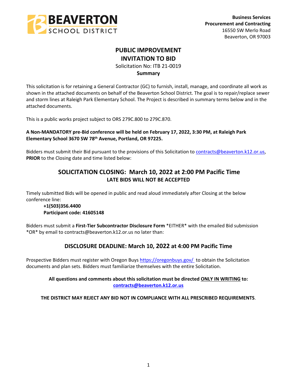

# **PUBLIC IMPROVEMENT INVITATION TO BID**

Solicitation No: ITB 21-0019

## **Summary**

This solicitation is for retaining a General Contractor (GC) to furnish, install, manage, and coordinate all work as shown in the attached documents on behalf of the Beaverton School District. The goal is to repair/replace sewer and storm lines at Raleigh Park Elementary School. The Project is described in summary terms below and in the attached documents.

This is a public works project subject to ORS 279C.800 to 279C.870.

## **A Non-MANDATORY pre-Bid conference will be held on February 17, 2022, 3:30 PM, at Raleigh Park Elementary School 3670 SW 78th Avenue, Portland, OR 97225.**

Bidders must submit their Bid pursuant to the provisions of this Solicitation to [contracts@beaverton.k12.or.us,](mailto:contracts@beaverton.k12.or.us) **PRIOR** to the Closing date and time listed below:

# **SOLICITATION CLOSING: March 10, 2022 at 2:00 PM Pacific Time LATE BIDS WILL NOT BE ACCEPTED**

Timely submitted Bids will be opened in public and read aloud immediately after Closing at the below conference line:

## **+1(503)356.4400 Participant code: 41605148**

Bidders must submit a **First-Tier Subcontractor Disclosure Form** \*EITHER\* with the emailed Bid submission \*OR\* by email to contracts@beaverton.k12.or.us no later than:

## **DISCLOSURE DEADLINE: March 10, 2022 at 4:00 PM Pacific Time**

Prospective Bidders must register with Oregon Buys<https://oregonbuys.gov/> to obtain the Solicitation documents and plan sets. Bidders must familiarize themselves with the entire Solicitation.

## **All questions and comments about this solicitation must be directed ONLY IN WRITING to: [contracts@beaverton.k12.or.us](mailto:contracts@beaverton.k12.or.us)**

**THE DISTRICT MAY REJECT ANY BID NOT IN COMPLIANCE WITH ALL PRESCRIBED REQUIREMENTS**.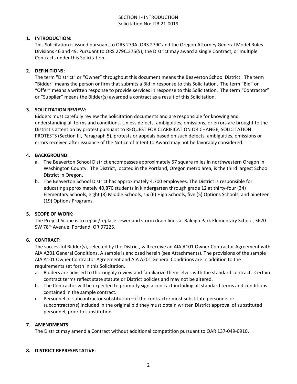## SECTION I - INTRODUCTION Solicitation No: ITB 21-0019

### **1. INTRODUCTION:**

This Solicitation is issued pursuant to ORS 279A, ORS 279C and the Oregon Attorney General Model Rules Divisions 46 and 49. Pursuant to ORS 279C.375(5), the District may award a single Contract, or multiple Contracts under this Solicitation.

#### **2. DEFINITIONS:**

The term "District" or "Owner" throughout this document means the Beaverton School District. The term "Bidder" means the person or firm that submits a Bid in response to this Solicitation. The term "Bid" or "Offer" means a written response to provide services in response to this Solicitation. The term "Contractor" or "Supplier" means the Bidder(s) awarded a contract as a result of this Solicitation.

#### **3. SOLICITATION REVIEW:**

Bidders must carefully review the Solicitation documents and are responsible for knowing and understanding all terms and conditions. Unless defects, ambiguities, omissions, or errors are brought to the District's attention by protest pursuant to REQUEST FOR CLARIFICATION OR CHANGE; SOLICITATION PROTESTS (Section III, Paragraph 5), protests or appeals based on such defects, ambiguities, omissions or errors received after issuance of the Notice of Intent to Award may not be favorably considered.

## **4. BACKGROUND:**

- a. The Beaverton School District encompasses approximately 57 square miles in northwestern Oregon in Washington County. The District, located in the Portland, Oregon metro area, is the third largest School District in Oregon.
- b. The Beaverton School District has approximately 4,700 employees. The District is responsible for educating approximately 40,870 students in kindergarten through grade 12 at thirty-four (34) Elementary Schools, eight (8) Middle Schools, six (6) High Schools, five (5) Options Schools, and nineteen (19) Options Programs.

#### **5. SCOPE OF WORK:**

The Project Scope is to repair/replace sewer and storm drain lines at Raleigh Park Elementary School, 3670 SW 78th Avenue, Portland, OR 97225.

#### **6. CONTRACT:**

The successful Bidder(s), selected by the District, will receive an AIA A101 Owner Contractor Agreement with AIA A201 General Conditions. A sample is enclosed herein (see Attachments). The provisions of the sample AIA A101 Owner Contractor Agreement and AIA A201 General Conditions are in addition to the requirements set forth in this Solicitation.

- a. Bidders are advised to thoroughly review and familiarize themselves with the standard contract. Certain contract terms reflect state statute or District policies and may not be altered.
- b. The Contractor will be expected to promptly sign a contract including all standard terms and conditions contained in the sample contract.
- c. Personnel or subcontractor substitution if the contractor must substitute personnel or subcontractor(s) included in the original bid they must obtain written District approval of substituted personnel, prior to substitution.

#### **7. AMENDMENTS:**

The District may amend a Contract without additional competition pursuant to OAR 137-049-0910.

#### **8. DISTRICT REPRESENTATIVE:**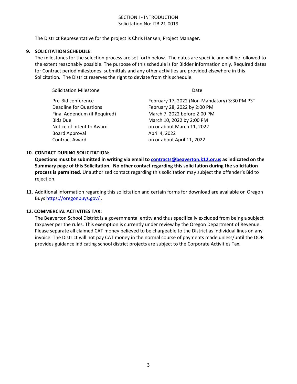## SECTION I - INTRODUCTION Solicitation No: ITB 21-0019

The District Representative for the project is Chris Hansen, Project Manager.

#### **9. SOLICITATION SCHEDULE:**

The milestones for the selection process are set forth below. The dates are specific and will be followed to the extent reasonably possible. The purpose of this schedule is for Bidder information only. Required dates for Contract period milestones, submittals and any other activities are provided elsewhere in this Solicitation. The District reserves the right to deviate from this schedule.

| <b>Solicitation Milestone</b> | Date                                          |  |  |
|-------------------------------|-----------------------------------------------|--|--|
| Pre-Bid conference            | February 17, 2022 (Non-Mandatory) 3:30 PM PST |  |  |
| <b>Deadline for Questions</b> | February 28, 2022 by 2:00 PM                  |  |  |
| Final Addendum (if Required)  | March 7, 2022 before 2:00 PM                  |  |  |
| <b>Bids Due</b>               | March 10, 2022 by 2:00 PM                     |  |  |
| Notice of Intent to Award     | on or about March 11, 2022                    |  |  |
| <b>Board Approval</b>         | April 4, 2022                                 |  |  |
| <b>Contract Award</b>         | on or about April 11, 2022                    |  |  |
|                               |                                               |  |  |

#### **10. CONTACT DURING SOLICITATION:**

**Questions must be submitted in writing via email to [contracts@beaverton.k12.or.us](mailto:contracts@beaverton.k12.or.us) as indicated on the Summary page of this Solicitation. No other contact regarding this solicitation during the solicitation process is permitted.** Unauthorized contact regarding this solicitation may subject the offender's Bid to rejection.

**11.** Additional information regarding this solicitation and certain forms for download are available on Oregon Buys <https://oregonbuys.gov/> .

#### **12. COMMERCIAL ACTIVITIES TAX:**

The Beaverton School District is a governmental entity and thus specifically excluded from being a subject taxpayer per the rules. This exemption is currently under review by the Oregon Department of Revenue. Please separate all claimed CAT money believed to be chargeable to the District as individual lines on any invoice. The District will not pay CAT money in the normal course of payments made unless/until the DOR provides guidance indicating school district projects are subject to the Corporate Activities Tax.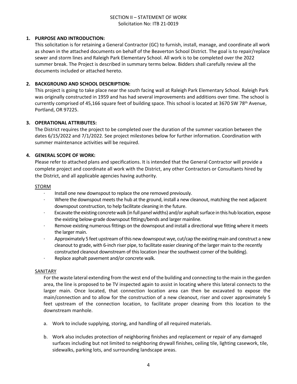## SECTION II – STATEMENT OF WORK Solicitation No: ITB 21-0019

#### **1. PURPOSE AND INTRODUCTION:**

This solicitation is for retaining a General Contractor (GC) to furnish, install, manage, and coordinate all work as shown in the attached documents on behalf of the Beaverton School District. The goal is to repair/replace sewer and storm lines and Raleigh Park Elementary School. All work is to be completed over the 2022 summer break. The Project is described in summary terms below. Bidders shall carefully review all the documents included or attached hereto.

## **2. BACKGROUND AND SCHOOL DESCRIPTION:**

This project is going to take place near the south facing wall at Raleigh Park Elementary School. Raleigh Park was originally constructed in 1959 and has had several improvements and additions over time. The school is currently comprised of 45,166 square feet of building space. This school is located at 3670 SW 78<sup>th</sup> Avenue, Portland, OR 97225.

#### **3. OPERATIONAL ATTRIBUTES:**

The District requires the project to be completed over the duration of the summer vacation between the dates 6/15/2022 and 7/1/2022. See project milestones below for further information. Coordination with summer maintenance activities will be required.

## **4. GENERAL SCOPE OF WORK:**

Please refer to attached plans and specifications. It is intended that the General Contractor will provide a complete project and coordinate all work with the District, any other Contractors or Consultants hired by the District, and all applicable agencies having authority.

#### STORM

- · Install one new downspout to replace the one removed previously.
- Where the downspout meets the hub at the ground, install a new cleanout, matching the next adjacent downspout construction, to help facilitate cleaning in the future.
- · Excavate the existing concrete walk (in full panel widths) and/or asphalt surface in this hub location, expose the existing below-grade downspout fittings/bends and larger mainline.
- · Remove existing numerous fittings on the downspout and install a directional wye fitting where it meets the larger main.
- · Approximately 5 feet upstream of this new downspout wye, cut/cap the existing main and construct a new cleanout to grade, with 6-inch riser pipe, to facilitate easier cleaning of the larger main to the recently constructed cleanout downstream of this location (near the southwest corner of the building).
- Replace asphalt pavement and/or concrete walk.

#### SANITARY

For the waste lateral extending from the west end of the building and connecting to the main in the garden area, the line is proposed to be TV inspected again to assist in locating where this lateral connects to the larger main. Once located, that connection location area can then be excavated to expose the main/connection and to allow for the construction of a new cleanout, riser and cover approximately 5 feet upstream of the connection location, to facilitate proper cleaning from this location to the downstream manhole.

- a. Work to include supplying, storing, and handling of all required materials.
- b. Work also includes protection of neighboring finishes and replacement or repair of any damaged surfaces including but not limited to neighboring drywall finishes, ceiling tile, lighting casework, tile, sidewalks, parking lots, and surrounding landscape areas.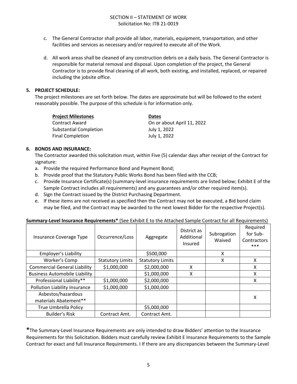- c. The General Contractor shall provide all labor, materials, equipment, transportation, and other facilities and services as necessary and/or required to execute all of the Work.
- d. All work areas shall be cleaned of any construction debris on a daily basis. The General Contractor is responsible for material removal and disposal. Upon completion of the project, the General Contractor is to provide final cleaning of all work, both existing, and installed, replaced, or repaired including the jobsite office.

## **5. PROJECT SCHEDULE:**

The project milestones are set forth below. The dates are approximate but will be followed to the extent reasonably possible. The purpose of this schedule is for information only.

| <b>Project Milestones</b> | <b>Dates</b>               |
|---------------------------|----------------------------|
| Contract Award            | On or about April 11, 2022 |
| Substantial Completion    | July 1, 2022               |
| <b>Final Completion</b>   | July 1, 2022               |

## **6. BONDS AND INSURANCE:**

The Contractor awarded this solicitation must, within Five (5) calendar days after receipt of the Contract for signature:

- a. Provide the required Performance Bond and Payment Bond;
- b. Provide proof that the Statutory Public Works Bond has been filed with the CCB;
- c. Provide Insurance Certificate(s) (summary-level insurance requirements are listed below; Exhibit E of the Sample Contract includes all requirements) and any guarantees and/or other required item(s).
- d. Sign the Contract issued by the District Purchasing Department.
- e. If these items are not received as specified then the Contract may not be executed, a Bid bond claim may be filed, and the Contract may be awarded to the next lowest Bidder for the respective Project(s).

| <b>Summary-Level Insurance Requirements*</b> (See Exhibit E to the Attached Sample Contract for all Requirements) |
|-------------------------------------------------------------------------------------------------------------------|
|-------------------------------------------------------------------------------------------------------------------|

| Insurance Coverage Type              | Occurrence/Loss         | Aggregate               | District as<br>Additional<br>Insured | Subrogation<br>Waived | Required<br>for Sub-<br>Contractors<br>*** |
|--------------------------------------|-------------------------|-------------------------|--------------------------------------|-----------------------|--------------------------------------------|
| Employer's Liability                 |                         | \$500,000               |                                      | x                     |                                            |
| Worker's Comp                        | <b>Statutory Limits</b> | <b>Statutory Limits</b> |                                      | x                     | x                                          |
| <b>Commercial General Liability</b>  | \$1,000,000             | \$2,000,000             | x                                    |                       | Χ                                          |
| <b>Business Automobile Liability</b> |                         | \$1,000,000             | X                                    |                       | X                                          |
| Professional Liability**             | \$1,000,000             | \$2,000,000             |                                      |                       | X                                          |
| Pollution Liability Insurance        | \$1,000,000             | \$1,000,000             |                                      |                       |                                            |
| Asbestos/hazardous                   |                         |                         |                                      |                       | x                                          |
| materials Abatement**                |                         |                         |                                      |                       |                                            |
| <b>True Umbrella Policy</b>          |                         | \$5,000,000             |                                      |                       |                                            |
| Builder's Risk                       | Contract Amt.           | Contract Amt.           |                                      |                       |                                            |

**\***The Summary-Level Insurance Requirements are only intended to draw Bidders' attention to the Insurance Requirements for this Solicitation. Bidders must carefully review Exhibit E Insurance Requirements to the Sample Contract for exact and full Insurance Requirements. I If there are any discrepancies between the Summary-Level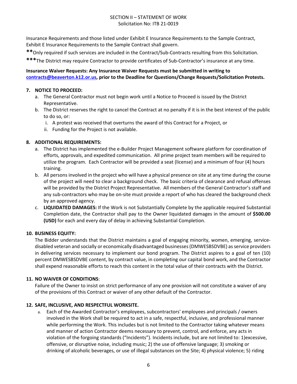## SECTION II – STATEMENT OF WORK Solicitation No: ITB 21-0019

Insurance Requirements and those listed under Exhibit E Insurance Requirements to the Sample Contract, Exhibit E Insurance Requirements to the Sample Contract shall govern.

**\*\***Only required if such services are included in the Contract/Sub-Contracts resulting from this Solicitation.

**\*\*\***The District may require Contractor to provide certificates of Sub-Contractor's insurance at any time.

## **Insurance Waiver Requests: Any Insurance Waiver Requests must be submitted in writing to [contracts@beaverton.k12.or.us,](mailto:contracts@beaverton.k12.or.us) prior to the Deadline for Questions/Change Requests/Solicitation Protests.**

## **7. NOTICE TO PROCEED:**

- a. The General Contractor must not begin work until a Notice to Proceed is issued by the District Representative.
- b. The District reserves the right to cancel the Contract at no penalty if it is in the best interest of the public to do so, or:
	- i. A protest was received that overturns the award of this Contract for a Project, or
	- ii. Funding for the Project is not available.

## **8. ADDITIONAL REQUIREMENTS:**

- a. The District has implemented the e-Builder Project Management software platform for coordination of efforts, approvals, and expedited communication. All prime project team members will be required to utilize the program. Each Contractor will be provided a seat (license) and a minimum of four (4) hours training.
- b. All persons involved in the project who will have a physical presence on site at any time during the course of the project will need to clear a background check. The basic criteria of clearance and refusal offenses will be provided by the District Project Representative. All members of the General Contractor's staff and any sub-contractors who may be on-site must provide a report of who has cleared the background check by an approved agency.
- c. **LIQUIDATED DAMAGES:** If the Work is not Substantially Complete by the applicable required Substantial Completion date, the Contractor shall pay to the Owner liquidated damages in the amount of **\$500.00 (USD)** for each and every day of delay in achieving Substantial Completion.

## **10. BUSINESS EQUITY:**

The Bidder understands that the District maintains a goal of engaging minority, women, emerging, servicedisabled veteran and socially or economically disadvantaged businesses (DMWESBSDVBE) as service providers in delivering services necessary to implement our bond program. The District aspires to a goal of ten (10) percent DMWESBSDVBE content, by contract value, in completing our capital bond work, and the Contractor shall expend reasonable efforts to reach this content in the total value of their contracts with the District.

## **11. NO WAIVER OF CONDITIONS**:

Failure of the Owner to insist on strict performance of any one provision will not constitute a waiver of any of the provisions of this Contract or waiver of any other default of the Contractor.

## **12. SAFE, INCLUSIVE, AND RESPECTFUL WORKSITE.**

a. Each of the Awarded Contractor's employees, subcontractors' employees and principals / owners involved in the Work shall be required to act in a safe, respectful, inclusive, and professional manner while performing the Work. This includes but is not limited to the Contractor taking whatever means and manner of action Contractor deems necessary to prevent, control, and enforce, any acts in violation of the forgoing standards ("Incidents"). Incidents include, but are not limited to: 1)excessive, offensive, or disruptive noise, including music; 2) the use of offensive language; 3) smoking or drinking of alcoholic beverages, or use of illegal substances on the Site; 4) physical violence; 5) riding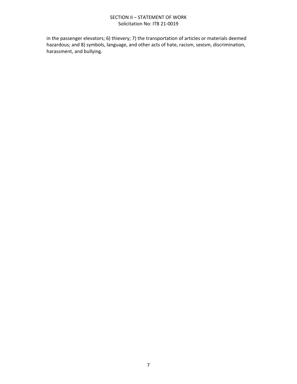## SECTION II – STATEMENT OF WORK Solicitation No: ITB 21-0019

in the passenger elevators; 6) thievery; 7) the transportation of articles or materials deemed hazardous; and 8) symbols, language, and other acts of hate, racism, sexism, discrimination, harassment, and bullying.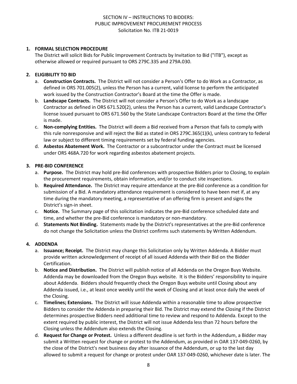## **1. FORMAL SELECTION PROCEDURE**

The District will solicit Bids for Public Improvement Contracts by Invitation to Bid ("ITB"), except as otherwise allowed or required pursuant to ORS 279C.335 and 279A.030.

## **2. ELIGIBILITY TO BID**

- a. **Construction Contracts.** The District will not consider a Person's Offer to do Work as a Contractor, as defined in ORS 701.005(2), unless the Person has a current, valid license to perform the anticipated work issued by the Construction Contractor's Board at the time the Offer is made.
- b. **Landscape Contracts.** The District will not consider a Person's Offer to do Work as a landscape Contractor as defined in ORS 671.520(2), unless the Person has a current, valid Landscape Contractor's license issued pursuant to ORS 671.560 by the State Landscape Contractors Board at the time the Offer is made.
- c. **Non-complying Entities.** The District will deem a Bid received from a Person that fails to comply with this rule nonresponsive and will reject the Bid as stated in ORS 279C.365(1)(k), unless contrary to federal law or subject to different timing requirements set by federal funding agencies.
- d. **Asbestos Abatement Work.** The Contractor or a subcontractor under the Contract must be licensed under ORS 468A.720 for work regarding asbestos abatement projects.

#### **3. PRE-BID CONFERENCE**

- a. **Purpose.** The District may hold pre-Bid conferences with prospective Bidders prior to Closing, to explain the procurement requirements, obtain information, and/or to conduct site inspections.
- b. **Required Attendance.** The District may require attendance at the pre-Bid conference as a condition for submission of a Bid. A mandatory attendance requirement is considered to have been met if, at any time during the mandatory meeting, a representative of an offering firm is present and signs the District's sign-in sheet.
- c. **Notice.** The Summary page of this solicitation indicates the pre-Bid conference scheduled date and time, and whether the pre-Bid conference is mandatory or non-mandatory.
- d. **Statements Not Binding.** Statements made by the District's representatives at the pre-Bid conference do not change the Solicitation unless the District confirms such statements by Written Addendum.

## **4. ADDENDA**

- a. **Issuance; Receipt.** The District may change this Solicitation only by Written Addenda. A Bidder must provide written acknowledgement of receipt of all issued Addenda with their Bid on the Bidder Certification.
- b. **Notice and Distribution.** The District will publish notice of all Addenda on the Oregon Buys Website. Addenda may be downloaded from the Oregon Buys website. It is the Bidders' responsibility to inquire about Addenda. Bidders should frequently check the Oregon Buys website until Closing about any Addenda issued, i.e., at least once weekly until the week of Closing and at least once daily the week of the Closing.
- c. **Timelines; Extensions.** The District will issue Addenda within a reasonable time to allow prospective Bidders to consider the Addenda in preparing their Bid. The District may extend the Closing if the District determines prospective Bidders need additional time to review and respond to Addenda. Except to the extent required by public interest, the District will not issue Addenda less than 72 hours before the Closing unless the Addendum also extends the Closing.
- d. **Request for Change or Protest.** Unless a different deadline is set forth in the Addendum, a Bidder may submit a Written request for change or protest to the Addendum, as provided in OAR 137-049-0260, by the close of the District's next business day after issuance of the Addendum, or up to the last day allowed to submit a request for change or protest under OAR 137-049-0260, whichever date is later. The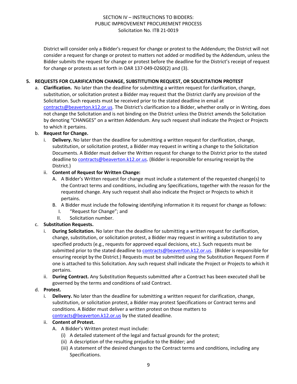District will consider only a Bidder's request for change or protest to the Addendum; the District will not consider a request for change or protest to matters not added or modified by the Addendum, unless the Bidder submits the request for change or protest before the deadline for the District's receipt of request for change or protests as set forth in OAR 137-049-0260(2) and (3).

## **5. REQUESTS FOR CLARIFICATION CHANGE, SUBSTITUTION REQUEST, OR SOLICITATION PROTEST**

a. **Clarification.** No later than the deadline for submitting a written request for clarification, change, substitution, or solicitation protest a Bidder may request that the District clarify any provision of the Solicitation. Such requests must be received prior to the stated deadline in email at [contracts@beaverton.k12.or.us.](mailto:contracts@beaverton.k12.or.us) The District's clarification to a Bidder, whether orally or in Writing, does not change the Solicitation and is not binding on the District unless the District amends the Solicitation by denoting "CHANGES" on a written Addendum. Any such request shall indicate the Project or Projects to which it pertains.

## b. **Request for Change.**

i. **Delivery.** No later than the deadline for submitting a written request for clarification, change, substitution, or solicitation protest, a Bidder may request in writing a change to the Solicitation Documents. A Bidder must deliver the Written request for change to the District prior to the stated deadline to [contracts@beaverton.k12.or.us.](mailto:contracts@beaverton.k12.or.us) (Bidder is responsible for ensuring receipt by the District.)

## ii. **Content of Request for Written Change:**

- A. A Bidder's Written request for change must include a statement of the requested change(s) to the Contract terms and conditions, including any Specifications, together with the reason for the requested change. Any such request shall also indicate the Project or Projects to which it pertains.
- B. A Bidder must include the following identifying information it its request for change as follows:
	- I. "Request for Change"; and
	- II. Solicitation number.

## c. **Substitution Requests.**

- i. **During Solicitation.** No later than the deadline for submitting a written request for clarification, change, substitution, or solicitation protest, a Bidder may request in writing a substitution to any specified products (e.g., requests for approved equal decisions, etc.). Such requests must be submitted prior to the stated deadline to [contracts@beaverton.k12.or.us](mailto:contracts@beaverton.k12.or.us). (Bidder is responsible for ensuring receipt by the District.) Requests must be submitted using the Substitution Request Form if one is attached to this Solicitation. Any such request shall indicate the Project or Projects to which it pertains.
- ii. **During Contract.** Any Substitution Requests submitted after a Contract has been executed shall be governed by the terms and conditions of said Contract.

#### d. **Protest.**

i. **Delivery.** No later than the deadline for submitting a written request for clarification, change, substitution, or solicitation protest, a Bidder may protest Specifications or Contract terms and conditions. A Bidder must deliver a written protest on those matters to [contracts@beaverton.k12.or.us](mailto:contracts@beaverton.k12.or.us) by the stated deadline.

#### ii. **Content of Protest.**

- A. A Bidder's Written protest must include:
	- (i) A detailed statement of the legal and factual grounds for the protest;
	- (ii) A description of the resulting prejudice to the Bidder; and
	- (iii) A statement of the desired changes to the Contract terms and conditions, including any Specifications.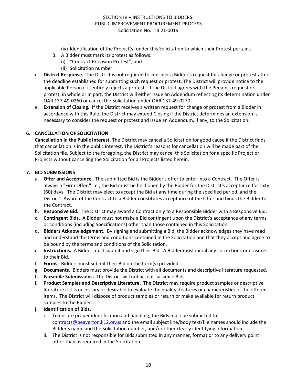- (iv) Identification of the Project(s) under this Solicitation to which their Protest pertains.
- B. A Bidder must mark its protest as follows:
	- (i) "Contract Provision Protest"; and
		- (ii) Solicitation number.
- c. **District Response.** The District is not required to consider a Bidder's request for change or protest after the deadline established for submitting such request or protest. The District will provide notice to the applicable Person if it entirely rejects a protest. If the District agrees with the Person's request or protest, in whole or in part, the District will either issue an Addendum reflecting its determination under OAR 137-49-0260 or cancel the Solicitation under OAR 137-49-0270.
- e. **Extension of Closing.** If the District receives a written request for change or protest from a Bidder in accordance with this Rule, the District may extend Closing if the District determines an extension is necessary to consider the request or protest and issue an Addendum, if any, to the Solicitation.

## **6. CANCELLATION OF SOLICITATION**

**Cancellation in the Public Interest.** The District may cancel a Solicitation for good cause if the District finds that cancellation is in the public interest. The District's reasons for cancellation will be made part of the Solicitation file. Subject to the foregoing, the District may cancel this Solicitation for a specific Project or Projects without cancelling the Solicitation for all Projects listed herein.

#### **7. BID SUBMISSIONS**

- a. **Offer and Acceptance.** The submitted Bid is the Bidder's offer to enter into a Contract. The Offer is always a "Firm Offer," i.e., the Bid must be held open by the Bidder for the District's acceptance for sixty (60) days. The District may elect to accept the Bid at any time during the specified period, and the District's Award of the Contract to a Bidder constitutes acceptance of the Offer and binds the Bidder to the Contract.
- b. **Responsive Bid.** The District may award a Contract only to a Responsible Bidder with a Responsive Bid.
- c. **Contingent Bids.** A Bidder must not make a Bid contingent upon the District's acceptance of any terms or conditions (including Specifications) other than those contained in this Solicitation.
- d. **Bidders Acknowledgement.** By signing and submitting a Bid, the Bidder acknowledges they have read and understand the terms and conditions contained in the Solicitation and that they accept and agree to be bound by the terms and conditions of the Solicitation.
- e. **Instructions.** A Bidder must submit and sign their Bid. A Bidder must initial any corrections or erasures to their Bid.
- f. **Forms.** Bidders must submit their Bid on the form(s) provided.
- g. **Documents.** Bidders must provide the District with all documents and descriptive literature requested.
- h. **Facsimile Submissions.** The District will not accept facsimile Bids.
- i. **Product Samples and Descriptive Literature.** The District may require product samples or descriptive literature if it is necessary or desirable to evaluate the quality, features or characteristics of the offered items. The District will dispose of product samples or return or make available for return product samples to the Bidder.
- j. **Identification of Bids.**
	- i. To ensure proper identification and handling, the Bids must be submitted to [contracts@beaverton.k12.or.us](mailto:contracts@beaverton.k12.or.us) and the email subject line/body text/file names should include the Bidder's name and the Solicitation number, and/or other clearly identifying information.
	- ii. The District is not responsible for Bids submitted in any manner, format or to any delivery point other than as required in the Solicitation.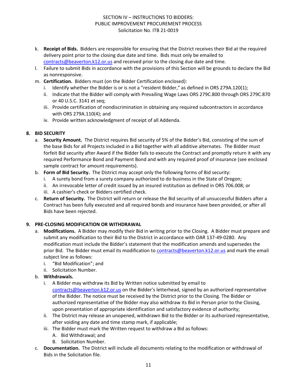- k. **Receipt of Bids.** Bidders are responsible for ensuring that the District receives their Bid at the required delivery point prior to the closing due date and time. Bids must only be emailed to [contracts@beaverton.k12.or.us](mailto:contracts@beaverton.k12.or.us) and received prior to the closing due date and time.
- l. Failure to submit Bids in accordance with the provisions of this Section will be grounds to declare the Bid as nonresponsive.
- m. **Certification.** Bidders must (on the Bidder Certification enclosed):
	- i. Identify whether the Bidder is or is not a "resident Bidder," as defined in ORS 279A.120(1);
	- ii. Indicate that the Bidder will comply with Prevailing Wage Laws ORS 279C.800 through ORS 279C.870 or 40 U.S.C. 3141 et seq;
	- iii. Provide certification of nondiscrimination in obtaining any required subcontractors in accordance with ORS 279A.110(4); and
	- iv. Provide written acknowledgment of receipt of all Addenda.

## **8. BID SECURITY**

- a. **Security Amount.** The District requires Bid security of 5% of the Bidder's Bid, consisting of the sum of the base Bids for all Projects included in a Bid together with all additive alternates. The Bidder must forfeit Bid security after Award if the Bidder fails to execute the Contract and promptly return it with any required Performance Bond and Payment Bond and with any required proof of insurance (see enclosed sample contract for amount requirements).
- b. **Form of Bid Security.** The District may accept only the following forms of Bid security:
	- i. A surety bond from a surety company authorized to do business in the State of Oregon;
	- ii. An irrevocable letter of credit issued by an insured institution as defined in ORS 706.008; or
	- iii. A cashier's check or Bidders certified check.
- c. **Return of Security.** The District will return or release the Bid security of all unsuccessful Bidders after a Contract has been fully executed and all required bonds and insurance have been provided, or after all Bids have been rejected.

## **9. PRE-CLOSING MODIFICATION OR WITHDRAWAL**

- a. **Modifications.** A Bidder may modify their Bid in writing prior to the Closing. A Bidder must prepare and submit any modification to their Bid to the District in accordance with OAR 137-49-0280. Any modification must include the Bidder's statement that the modification amends and supersedes the prior Bid. The Bidder must email its modification to [contracts@beaverton.k12.or.us](mailto:contracts@beaverton.k12.or.us) and mark the email subject line as follows:
	- i. "Bid Modification"; and
	- ii. Solicitation Number.
- b. **Withdrawals.**
	- i. A Bidder may withdraw its Bid by Written notice submitted by email to [contracts@beaverton.k12.or.us](mailto:contracts@beaverton.k12.or.us) on the Bidder's letterhead, signed by an authorized representative of the Bidder. The notice must be received by the District prior to the Closing. The Bidder or authorized representative of the Bidder may also withdraw its Bid in Person prior to the Closing, upon presentation of appropriate identification and satisfactory evidence of authority;
	- ii. The District may release an unopened, withdrawn Bid to the Bidder or its authorized representative, after voiding any date and time stamp mark, if applicable;
	- iii. The Bidder must mark the Written request to withdraw a Bid as follows:
		- A. Bid Withdrawal; and
		- B. Solicitation Number.
- c. **Documentation.** The District will include all documents relating to the modification or withdrawal of Bids in the Solicitation file.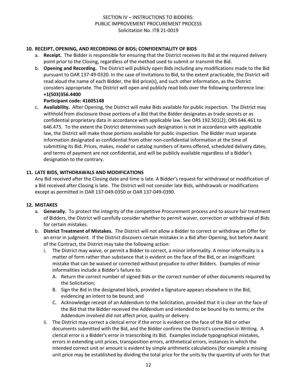## **10. RECEIPT, OPENING, AND RECORDING OF BIDS; CONFIDENTIALITY OF BIDS**

- a. **Receipt.** The Bidder is responsible for ensuring that the District receives its Bid at the required delivery point prior to the Closing, regardless of the method used to submit or transmit the Bid.
- b. **Opening and Recording.** The District will publicly open Bids including any modifications made to the Bid pursuant to OAR 137-49-0320. In the case of Invitations to Bid, to the extent practicable, the District will read aloud the name of each Bidder, the Bid price(s), and such other information, as the District considers appropriate. The District will open and publicly read bids over the following conference line: **+1(503)356.4400**

## **Participant code: 41605148**

c. **Availability.** After Opening, the District will make Bids available for public inspection. The District may withhold from disclosure those portions of a Bid that the Bidder designates as trade secrets or as confidential proprietary data in accordance with applicable law. See ORS 192.501(2); ORS 646.461 to 646.475. To the extent the District determines such designation is not in accordance with applicable law, the District will make those portions available for public inspection. The Bidder must separate information designated as confidential from other non-confidential information at the time of submitting its Bid. Prices, makes, model or catalog numbers of items offered, scheduled delivery dates, and terms of payment are not confidential, and will be publicly available regardless of a Bidder's designation to the contrary.

## **11. LATE BIDS, WITHDRAWALS AND MODIFICATIONS**

Any Bid received after the Closing date and time is late. A Bidder's request for withdrawal or modification of a Bid received after Closing is late. The District will not consider late Bids, withdrawals or modifications except as permitted in OAR 137-049-0350 or OAR 137-049-0390.

#### **12. MISTAKES**

- a. **Generally.** To protect the integrity of the competitive Procurement process and to assure fair treatment of Bidders, the District will carefully consider whether to permit waiver, correction or withdrawal of Bids for certain mistakes.
- b. **District Treatment of Mistakes.** The District will not allow a Bidder to correct or withdraw an Offer for an error in judgment. If the District discovers certain mistakes in a Bid after Opening, but before Award of the Contract, the District may take the following action:
	- i. The District may waive, or permit a Bidder to correct, a minor informality. A minor informality is a matter of form rather than substance that is evident on the face of the Bid, or an insignificant mistake that can be waived or corrected without prejudice to other Bidders. Examples of minor informalities include a Bidder's failure to:
		- A. Return the correct number of signed Bids or the correct number of other documents required by the Solicitation;
		- B. Sign the Bid in the designated block, provided a Signature appears elsewhere in the Bid, evidencing an intent to be bound; and
		- C. Acknowledge receipt of an Addendum to the Solicitation, provided that it is clear on the face of the Bid that the Bidder received the Addendum and intended to be bound by its terms; or the Addendum involved did not affect price, quality or delivery.
	- ii. The District may correct a clerical error if the error is evident on the face of the Bid or other documents submitted with the Bid, and the Bidder confirms the District's correction in Writing. A clerical error is a Bidder's error in transcribing its Bid. Examples include typographical mistakes, errors in extending unit prices, transposition errors, arithmetical errors, instances in which the intended correct unit or amount is evident by simple arithmetic calculations (for example a missing unit price may be established by dividing the total price for the units by the quantity of units for that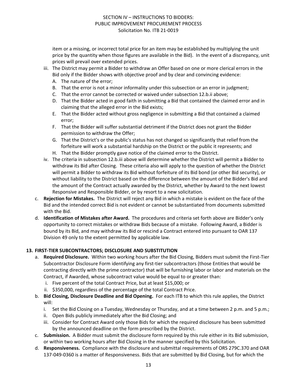item or a missing, or incorrect total price for an item may be established by multiplying the unit price by the quantity when those figures are available in the Bid). In the event of a discrepancy, unit prices will prevail over extended prices.

- iii. The District may permit a Bidder to withdraw an Offer based on one or more clerical errors in the Bid only if the Bidder shows with objective proof and by clear and convincing evidence:
	- A. The nature of the error;
	- B. That the error is not a minor informality under this subsection or an error in judgment;
	- C. That the error cannot be corrected or waived under subsection 12.b.ii above;
	- D. That the Bidder acted in good faith in submitting a Bid that contained the claimed error and in claiming that the alleged error in the Bid exists;
	- E. That the Bidder acted without gross negligence in submitting a Bid that contained a claimed error;
	- F. That the Bidder will suffer substantial detriment if the District does not grant the Bidder permission to withdraw the Offer;
	- G. That the District's or the public's status has not changed so significantly that relief from the forfeiture will work a substantial hardship on the District or the public it represents; and
	- H. That the Bidder promptly gave notice of the claimed error to the District.
- iv. The criteria in subsection 12.b.iii above will determine whether the District will permit a Bidder to withdraw its Bid after Closing. These criteria also will apply to the question of whether the District will permit a Bidder to withdraw its Bid without forfeiture of its Bid bond (or other Bid security), or without liability to the District based on the difference between the amount of the Bidder's Bid and the amount of the Contract actually awarded by the District, whether by Award to the next lowest Responsive and Responsible Bidder, or by resort to a new solicitation.
- c. **Rejection for Mistakes.** The District will reject any Bid in which a mistake is evident on the face of the Bid and the intended correct Bid is not evident or cannot be substantiated from documents submitted with the Bid.
- d. **Identification of Mistakes after Award.** The procedures and criteria set forth above are Bidder's only opportunity to correct mistakes or withdraw Bids because of a mistake. Following Award, a Bidder is bound by its Bid, and may withdraw its Bid or rescind a Contract entered into pursuant to OAR 137 Division 49 only to the extent permitted by applicable law.

#### **13. FIRST-TIER SUBCONTRACTORS; DISCLOSURE AND SUBSTITUTION**

- a. **Required Disclosure.** Within two working hours after the Bid Closing, Bidders must submit the First-Tier Subcontractor Disclosure Form identifying any first-tier subcontractors (those Entities that would be contracting directly with the prime contractor) that will be furnishing labor or labor and materials on the Contract, if Awarded, whose subcontract value would be equal to or greater than:
	- i. Five percent of the total Contract Price, but at least \$15,000; or
	- ii. \$350,000, regardless of the percentage of the total Contract Price.
- b. **Bid Closing, Disclosure Deadline and Bid Opening.** For each ITB to which this rule applies, the District will:
	- i. Set the Bid Closing on a Tuesday, Wednesday or Thursday, and at a time between 2 p.m. and 5 p.m.;
	- ii. Open Bids publicly immediately after the Bid Closing; and
	- iii. Consider for Contract Award only those Bids for which the required disclosure has been submitted by the announced deadline on the form prescribed by the District.
- c. **Submission.** A Bidder must submit the disclosure form required by this rule either in its Bid submission, or within two working hours after Bid Closing in the manner specified by this Solicitation.
- d. **Responsiveness.** Compliance with the disclosure and submittal requirements of ORS 279C.370 and OAR 137-049-0360 is a matter of Responsiveness. Bids that are submitted by Bid Closing, but for which the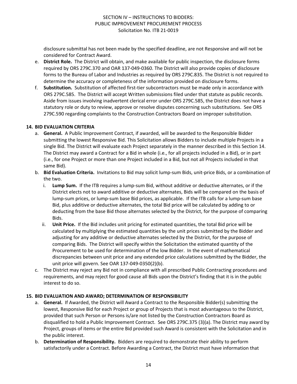disclosure submittal has not been made by the specified deadline, are not Responsive and will not be considered for Contract Award.

- e. **District Role.** The District will obtain, and make available for public inspection, the disclosure forms required by ORS 279C.370 and OAR 137-049-0360. The District will also provide copies of disclosure forms to the Bureau of Labor and Industries as required by ORS 279C.835. The District is not required to determine the accuracy or completeness of the information provided on disclosure forms.
- f. **Substitution.** Substitution of affected first-tier subcontractors must be made only in accordance with ORS 279C.585. The District will accept Written submissions filed under that statute as public records. Aside from issues involving inadvertent clerical error under ORS 279C.585, the District does not have a statutory role or duty to review, approve or resolve disputes concerning such substitutions. See ORS 279C.590 regarding complaints to the Construction Contractors Board on improper substitution.

#### **14. BID EVALUATION CRITERIA**

- a. **General.** A Public Improvement Contract, if awarded, will be awarded to the Responsible Bidder submitting the lowest Responsive Bid. This Solicitation allows Bidders to include multiple Projects in a single Bid. The District will evaluate each Project separately in the manner described in this Section 14. The District may award a Contract for a Bid in whole (i.e., for all projects included in a Bid), or in part (i.e., for one Project or more than one Project included in a Bid, but not all Projects included in that same Bid).
- b. **Bid Evaluation Criteria.** Invitations to Bid may solicit lump-sum Bids, unit-price Bids, or a combination of the two.
	- i. **Lump Sum.** If the ITB requires a lump-sum Bid, without additive or deductive alternates, or if the District elects not to award additive or deductive alternates, Bids will be compared on the basis of lump-sum prices, or lump-sum base Bid prices, as applicable. If the ITB calls for a lump-sum base Bid, plus additive or deductive alternates, the total Bid price will be calculated by adding to or deducting from the base Bid those alternates selected by the District, for the purpose of comparing Bids.
	- ii. **Unit Price.** If the Bid includes unit pricing for estimated quantities, the total Bid price will be calculated by multiplying the estimated quantities by the unit prices submitted by the Bidder and adjusting for any additive or deductive alternates selected by the District, for the purpose of comparing Bids. The District will specify within the Solicitation the estimated quantity of the Procurement to be used for determination of the low Bidder. In the event of mathematical discrepancies between unit price and any extended price calculations submitted by the Bidder, the unit price will govern. See OAR 137-049-0350(2)(b).
- c. The District may reject any Bid not in compliance with all prescribed Public Contracting procedures and requirements, and may reject for good cause all Bids upon the District's finding that it is in the public interest to do so.

## **15. BID EVALUATION AND AWARD; DETERMINATION OF RESPONSIBILITY**

- a. **General.** If Awarded, the District will Award a Contract to the Responsible Bidder(s) submitting the lowest, Responsive Bid for each Project or group of Projects that is most advantageous to the District, provided that such Person or Persons is/are not listed by the Construction Contractors Board as disqualified to hold a Public Improvement Contract. See ORS 279C.375 (3)(a). The District may award by Project, groups of items or the entire Bid provided such Award is consistent with the Solicitation and in the public interest.
- b. **Determination of Responsibility.** Bidders are required to demonstrate their ability to perform satisfactorily under a Contract. Before Awarding a Contract, the District must have information that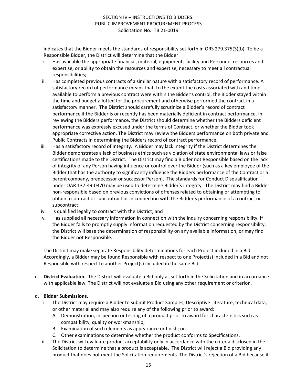indicates that the Bidder meets the standards of responsibility set forth in ORS 279.375(3)(b). To be a Responsible Bidder, the District will determine that the Bidder:

- i. Has available the appropriate financial, material, equipment, facility and Personnel resources and expertise, or ability to obtain the resources and expertise, necessary to meet all contractual responsibilities;
- ii. Has completed previous contracts of a similar nature with a satisfactory record of performance. A satisfactory record of performance means that, to the extent the costs associated with and time available to perform a previous contract were within the Bidder's control, the Bidder stayed within the time and budget allotted for the procurement and otherwise performed the contract in a satisfactory manner. The District should carefully scrutinize a Bidder's record of contract performance if the Bidder is or recently has been materially deficient in contract performance. In reviewing the Bidders performance, the District should determine whether the Bidders deficient performance was expressly excused under the terms of Contract, or whether the Bidder took appropriate corrective action. The District may review the Bidders performance on both private and Public Contracts in determining the Bidders record of contract performance.
- iii. Has a satisfactory record of integrity. A Bidder may lack integrity if the District determines the Bidder demonstrates a lack of business ethics such as violation of state environmental laws or false certifications made to the District. The District may find a Bidder not Responsible based on the lack of integrity of any Person having influence or control over the Bidder (such as a key employee of the Bidder that has the authority to significantly influence the Bidders performance of the Contract or a parent company, predecessor or successor Person). The standards for Conduct Disqualification under OAR 137-49-0370 may be used to determine Bidder's integrity. The District may find a Bidder non-responsible based on previous convictions of offenses related to obtaining or attempting to obtain a contract or subcontract or in connection with the Bidder's performance of a contract or subcontract;
- iv. Is qualified legally to contract with the District; and
- v. Has supplied all necessary information in connection with the inquiry concerning responsibility. If the Bidder fails to promptly supply information requested by the District concerning responsibility, the District will base the determination of responsibility on any available information, or may find the Bidder not Responsible.

The District may make separate Responsibility determinations for each Project included in a Bid. Accordingly, a Bidder may be found Responsible with respect to one Project(s) included in a Bid and not Responsible with respect to another Project(s) included in the same Bid.

c. **District Evaluation.** The District will evaluate a Bid only as set forth in the Solicitation and in accordance with applicable law. The District will not evaluate a Bid using any other requirement or criterion.

## d. **Bidder Submissions.**

- i. The District may require a Bidder to submit Product Samples, Descriptive Literature, technical data, or other material and may also require any of the following prior to award:
	- A. Demonstration, inspection or testing of a product prior to award for characteristics such as compatibility, quality or workmanship;
	- B. Examination of such elements as appearance or finish; or
	- C. Other examinations to determine whether the product conforms to Specifications.
- ii. The District will evaluate product acceptability only in accordance with the criteria disclosed in the Solicitation to determine that a product is acceptable. The District will reject a Bid providing any product that does not meet the Solicitation requirements. The District's rejection of a Bid because it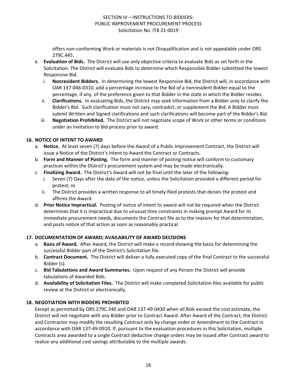offers non-conforming Work or materials is not Disqualification and is not appealable under ORS 279C.445.

- e. **Evaluation of Bids.** The District will use only objective criteria to evaluate Bids as set forth in the Solicitation. The District will evaluate Bids to determine which Responsible Bidder submitted the lowest Responsive Bid.
	- i. **Nonresident Bidders.** In determining the lowest Responsive Bid, the District will, in accordance with OAR 137-046-0310, add a percentage increase to the Bid of a nonresident Bidder equal to the percentage, if any, of the preference given to that Bidder in the state in which the Bidder resides.
	- ii. **Clarifications.** In evaluating Bids, the District may seek information from a Bidder only to clarify the Bidder's Bid. Such clarification must not vary, contradict, or supplement the Bid. A Bidder must submit Written and Signed clarifications and such clarifications will become part of the Bidder's Bid.
	- iii. **Negotiation Prohibited.** The District will not negotiate scope of Work or other terms or conditions under an Invitation to Bid process prior to award.

## **16. NOTICE OF INTENT TO AWARD**

- a. **Notice.** At least seven (7) days before the Award of a Public Improvement Contract, the District will issue a Notice of the District's intent to Award the Contract or Contracts.
- b. **Form and Manner of Posting.** The form and manner of posting notice will conform to customary practices within the District's procurement system and may be made electronically.
- c. **Finalizing Award.** The District's Award will not be final until the later of the following:
	- Seven (7) Days after the date of the notice, unless the Solicitation provided a different period for protest; or
	- ii. The District provides a written response to all timely-filed protests that denies the protest and affirms the Award.
- d. **Prior Notice Impractical.** Posting of notice of intent to award will not be required when the District determines that it is impractical due to unusual time constraints in making prompt Award for its immediate procurement needs, documents the Contract file as to the reasons for that determination, and posts notice of that action as soon as reasonably practical.

## **17. DOCUMENTATION OF AWARD; AVAILABILITY OF AWARD DECISIONS**

- a. **Basis of Award.** After Award, the District will make a record showing the basis for determining the successful Bidder part of the District's Solicitation file.
- b. **Contract Document.** The District will deliver a fully executed copy of the final Contract to the successful Bidder (s).
- c. **Bid Tabulations and Award Summaries.** Upon request of any Person the District will provide tabulations of Awarded Bids.
- d. **Availability of Solicitation Files.** The District will make completed Solicitation files available for public review at the District or electronically.

## **18. NEGOTIATION WITH BIDDERS PROHIBITED**

Except as permitted by ORS 279C.340 and OAR 137-49-0430 when all Bids exceed the cost estimate, the District will not negotiate with any Bidder prior to Contract Award. After Award of the Contract, the District and Contractor may modify the resulting Contract only by change order or Amendment to the Contract in accordance with OAR 137-49-0910. If, pursuant to the evaluation procedures in this Solicitation, multiple Contracts area awarded to a single Contract deductive change orders may be issued after Contract award to realize any additional cost savings attributable to the multiple awards.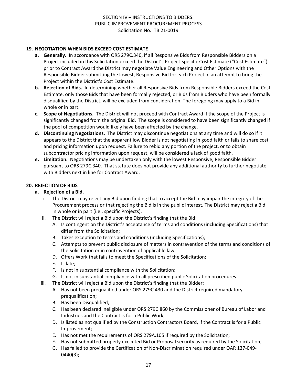## **19. NEGOTIATION WHEN BIDS EXCEED COST ESTIMATE**

- **a. Generally.** In accordance with ORS 279C.340, if all Responsive Bids from Responsible Bidders on a Project included in this Solicitation exceed the District's Project-specific Cost Estimate ("Cost Estimate"), prior to Contract Award the District may negotiate Value Engineering and Other Options with the Responsible Bidder submitting the lowest, Responsive Bid for each Project in an attempt to bring the Project within the District's Cost Estimate.
- **b. Rejection of Bids.** In determining whether all Responsive Bids from Responsible Bidders exceed the Cost Estimate, only those Bids that have been formally rejected, or Bids from Bidders who have been formally disqualified by the District, will be excluded from consideration. The foregoing may apply to a Bid in whole or in part.
- **c. Scope of Negotiations.** The District will not proceed with Contract Award if the scope of the Project is significantly changed from the original Bid. The scope is considered to have been significantly changed if the pool of competition would likely have been affected by the change.
- **d. Discontinuing Negotiations.** The District may discontinue negotiations at any time and will do so if it appears to the District that the apparent low Bidder is not negotiating in good faith or fails to share cost and pricing information upon request. Failure to rebid any portion of the project, or to obtain subcontractor pricing information upon request, will be considered a lack of good faith.
- **e. Limitation.** Negotiations may be undertaken only with the lowest Responsive, Responsible Bidder pursuant to ORS 279C.340. That statute does not provide any additional authority to further negotiate with Bidders next in line for Contract Award.

## **20. REJECTION OF BIDS**

#### **a. Rejection of a Bid.**

- i. The District may reject any Bid upon finding that to accept the Bid may impair the integrity of the Procurement process or that rejecting the Bid is in the public interest. The District may reject a Bid in whole or in part (i.e., specific Projects).
- ii. The District will reject a Bid upon the District's finding that the Bid:
	- A. Is contingent on the District's acceptance of terms and conditions (including Specifications) that differ from the Solicitation;
	- B. Takes exception to terms and conditions (including Specifications);
	- C. Attempts to prevent public disclosure of matters in contravention of the terms and conditions of the Solicitation or in contravention of applicable law;
	- D. Offers Work that fails to meet the Specifications of the Solicitation;
	- E. Is late;
	- F. Is not in substantial compliance with the Solicitation;
	- G. Is not in substantial compliance with all prescribed public Solicitation procedures.
- iii. The District will reject a Bid upon the District's finding that the Bidder:
	- A. Has not been prequalified under ORS 279C.430 and the District required mandatory prequalification;
	- B. Has been Disqualified;
	- C. Has been declared ineligible under ORS 279C.860 by the Commissioner of Bureau of Labor and Industries and the Contract is for a Public Work;
	- D. Is listed as not qualified by the Construction Contractors Board, if the Contract is for a Public Improvement;
	- E. Has not met the requirements of ORS 279A.105 if required by the Solicitation;
	- F. Has not submitted properly executed Bid or Proposal security as required by the Solicitation;
	- G. Has failed to provide the Certification of Non-Discrimination required under OAR 137-049- 0440(3);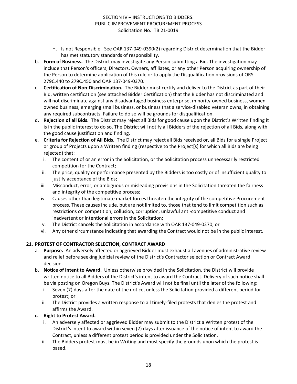- H. Is not Responsible. See OAR 137-049-0390(2) regarding District determination that the Bidder has met statutory standards of responsibility.
- b. **Form of Business.** The District may investigate any Person submitting a Bid. The investigation may include that Person's officers, Directors, Owners, affiliates, or any other Person acquiring ownership of the Person to determine application of this rule or to apply the Disqualification provisions of ORS 279C.440 to 279C.450 and OAR 137-049-0370.
- c. **Certification of Non-Discrimination.** The Bidder must certify and deliver to the District as part of their Bid, written certification (see attached Bidder Certification) that the Bidder has not discriminated and will not discriminate against any disadvantaged business enterprise, minority-owned business, womenowned business, emerging small business, or business that a service-disabled veteran owns, in obtaining any required subcontracts. Failure to do so will be grounds for disqualification.
- d. **Rejection of all Bids.** The District may reject all Bids for good cause upon the District's Written finding it is in the public interest to do so. The District will notify all Bidders of the rejection of all Bids, along with the good cause justification and finding.
- e. **Criteria for Rejection of All Bids.** The District may reject all Bids received or, all Bids for a single Project or group of Projects upon a Written finding (respective to the Project[s] for which all Bids are being rejected) that:
	- i. The content of or an error in the Solicitation, or the Solicitation process unnecessarily restricted competition for the Contract;
	- ii. The price, quality or performance presented by the Bidders is too costly or of insufficient quality to justify acceptance of the Bids;
	- iii. Misconduct, error, or ambiguous or misleading provisions in the Solicitation threaten the fairness and integrity of the competitive process;
	- iv. Causes other than legitimate market forces threaten the integrity of the competitive Procurement process. These causes include, but are not limited to, those that tend to limit competition such as restrictions on competition, collusion, corruption, unlawful anti-competitive conduct and inadvertent or intentional errors in the Solicitation;
	- v. The District cancels the Solicitation in accordance with OAR 137-049-0270; or
	- vi. Any other circumstance indicating that awarding the Contract would not be in the public interest.

## **21. PROTEST OF CONTRACTOR SELECTION, CONTRACT AWARD**

- a. **Purpose.** An adversely affected or aggrieved Bidder must exhaust all avenues of administrative review and relief before seeking judicial review of the District's Contractor selection or Contract Award decision.
- b. **Notice of Intent to Award.** Unless otherwise provided in the Solicitation, the District will provide written notice to all Bidders of the District's intent to award the Contract. Delivery of such notice shall be via posting on Oregon Buys. The District's Award will not be final until the later of the following:
	- i. Seven (7) days after the date of the notice, unless the Solicitation provided a different period for protest; or
	- ii. The District provides a written response to all timely-filed protests that denies the protest and affirms the Award.

## **c. Right to Protest Award.**

- i. An adversely affected or aggrieved Bidder may submit to the District a Written protest of the District's intent to award within seven (7) days after issuance of the notice of intent to award the Contract, unless a different protest period is provided under the Solicitation.
- ii. The Bidders protest must be in Writing and must specify the grounds upon which the protest is based.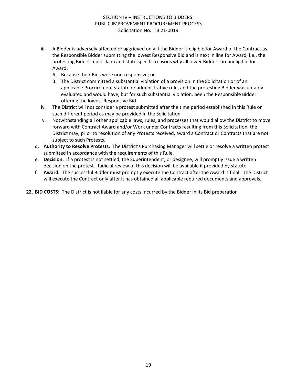- iii. A Bidder is adversely affected or aggrieved only if the Bidder is eligible for Award of the Contract as the Responsible Bidder submitting the lowest Responsive Bid and is next in line for Award, i.e., the protesting Bidder must claim and state specific reasons why all lower Bidders are ineligible for Award:
	- A. Because their Bids were non-responsive; or
	- B. The District committed a substantial violation of a provision in the Solicitation or of an applicable Procurement statute or administrative rule, and the protesting Bidder was unfairly evaluated and would have, but for such substantial violation, been the Responsible Bidder offering the lowest Responsive Bid.
- iv. The District will not consider a protest submitted after the time period established in this Rule or such different period as may be provided in the Solicitation.
- v. Notwithstanding all other applicable laws, rules, and processes that would allow the District to move forward with Contract Award and/or Work under Contracts resulting from this Solicitation, the District may, prior to resolution of any Protests received, award a Contract or Contracts that are not subject to such Protests.
- d. **Authority to Resolve Protests.** The District's Purchasing Manager will settle or resolve a written protest submitted in accordance with the requirements of this Rule.
- e. **Decision.** If a protest is not settled, the Superintendent, or designee, will promptly issue a written decision on the protest. Judicial review of this decision will be available if provided by statute.
- f. **Award.** The successful Bidder must promptly execute the Contract after the Award is final. The District will execute the Contract only after it has obtained all applicable required documents and approvals.

**22. BID COSTS**: The District is not liable for any costs incurred by the Bidder in its Bid preparation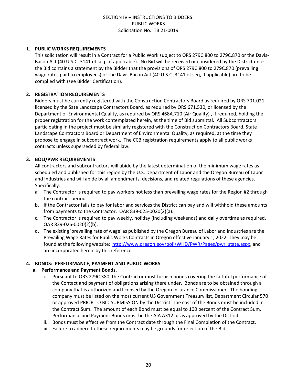#### **1. PUBLIC WORKS REQUIREMENTS**

This solicitation will result in a Contract for a Public Work subject to ORS 279C.800 to 279C.870 or the Davis-Bacon Act (40 U.S.C. 3141 et seq., if applicable). No Bid will be received or considered by the District unless the Bid contains a statement by the Bidder that the provisions of ORS 279C.800 to 279C.870 (prevailing wage rates paid to employees) or the Davis Bacon Act (40 U.S.C. 3141 et seq, if applicable) are to be complied with (see Bidder Certification).

### **2. REGISTRATION REQUIREMENTS**

Bidders must be currently registered with the Construction Contractors Board as required by ORS 701.021, licensed by the Sate Landscape Contractors Board, as required by ORS 671.530, or licensed by the Department of Environmental Quality, as required by ORS 468A.710 (Air Quality) , if required, holding the proper registration for the work contemplated herein, at the time of Bid submittal. All Subcontractors participating in the project must be similarly registered with the Construction Contractors Board, State Landscape Contractors Board or Department of Environmental Quality, as required, at the time they propose to engage in subcontract work. The CCB registration requirements apply to all public works contracts unless superseded by federal law.

## **3. BOLI/PWR REQUIREMENTS**

All contractors and subcontractors will abide by the latest determination of the minimum wage rates as scheduled and published for this region by the U.S. Department of Labor and the Oregon Bureau of Labor and Industries and will abide by all amendments, decisions, and related regulations of these agencies. Specifically:

- a. The Contractor is required to pay workers not less than prevailing wage rates for the Region #2 through the contract period.
- b. If the Contractor fails to pay for labor and services the District can pay and will withhold these amounts from payments to the Contractor. OAR 839-025-0020(2)(a).
- c. The Contractor is required to pay weekly, holiday (including weekends) and daily overtime as required. OAR 839-025-0020(2)(b).
- d. The existing 'prevailing rate of wage' as published by the Oregon Bureau of Labor and Industries are the Prevailing Wage Rates for Public Works Contracts in Oregon effective January 1, 2022. They may be found at the following website: [http://www.oregon.gov/boli/WHD/PWR/Pages/pwr\\_state.aspx,](http://www.oregon.gov/boli/WHD/PWR/Pages/pwr_state.aspx) and are incorporated herein by this reference.

#### **4. BONDS: PERFORMANCE, PAYMENT AND PUBLIC WORKS**

#### **a. Performance and Payment Bonds.**

- i. Pursuant to ORS 279C.380, the Contractor must furnish bonds covering the faithful performance of the Contact and payment of obligations arising there under. Bonds are to be obtained through a company that is authorized and licensed by the Oregon Insurance Commissioner. The bonding company must be listed on the most current US Government Treasury list, Department Circular 570 or approved PRIOR TO BID SUBMISSION by the District. The cost of the Bonds must be included in the Contract Sum. The amount of each Bond must be equal to 100 percent of the Contract Sum. Performance and Payment Bonds must be the AIA A312 or as approved by the District.
- ii. Bonds must be effective from the Contract date through the Final Completion of the Contract.
- iii. Failure to adhere to these requirements may be grounds for rejection of the Bid.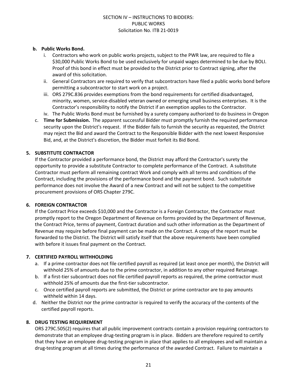### **b. Public Works Bond.**

- i. Contractors who work on public works projects, subject to the PWR law, are required to file a \$30,000 Public Works Bond to be used exclusively for unpaid wages determined to be due by BOLI. Proof of this bond in effect must be provided to the District prior to Contract signing, after the award of this solicitation.
- ii. General Contractors are required to verify that subcontractors have filed a public works bond before permitting a subcontractor to start work on a project.
- iii. ORS 279C.836 provides exemptions from the bond requirements for certified disadvantaged, minority, women, service-disabled veteran owned or emerging small business enterprises. It is the Contractor's responsibility to notify the District if an exemption applies to the Contractor.
- iv. The Public Works Bond must be furnished by a surety company authorized to do business in Oregon
- c. **Time for Submission.** The apparent successful Bidder must promptly furnish the required performance security upon the District's request. If the Bidder fails to furnish the security as requested, the District may reject the Bid and award the Contract to the Responsible Bidder with the next lowest Responsive Bid, and, at the District's discretion, the Bidder must forfeit its Bid Bond.

## **5. SUBSTITUTE CONTRACTOR**

If the Contractor provided a performance bond, the District may afford the Contractor's surety the opportunity to provide a substitute Contractor to complete performance of the Contract. A substitute Contractor must perform all remaining contract Work and comply with all terms and conditions of the Contract, including the provisions of the performance bond and the payment bond. Such substitute performance does not involve the Award of a new Contract and will not be subject to the competitive procurement provisions of ORS Chapter 279C.

#### **6. FOREIGN CONTRACTOR**

If the Contract Price exceeds \$10,000 and the Contractor is a Foreign Contractor, the Contractor must promptly report to the Oregon Department of Revenue on forms provided by the Department of Revenue, the Contract Price, terms of payment, Contract duration and such other information as the Department of Revenue may require before final payment can be made on the Contract. A copy of the report must be forwarded to the District. The District will satisfy itself that the above requirements have been complied with before it issues final payment on the Contract.

## **7. CERTIFIED PAYROLL WITHHOLDING**

- a. If a prime contractor does not file certified payroll as required (at least once per month), the District will withhold 25% of amounts due to the prime contractor, in addition to any other required Retainage.
- b. If a first-tier subcontract does not file certified payroll reports as required, the prime contractor must withhold 25% of amounts due the first-tier subcontractor.
- c. Once certified payroll reports are submitted, the District or prime contractor are to pay amounts withheld within 14 days.
- d. Neither the District nor the prime contractor is required to verify the accuracy of the contents of the certified payroll reports.

## **8. DRUG TESTING REQUIREMENT**

ORS 279C.505(2) requires that all public improvement contracts contain a provision requiring contractors to demonstrate that an employee drug-testing program is in place. Bidders are therefore required to certify that they have an employee drug-testing program in place that applies to all employees and will maintain a drug-testing program at all times during the performance of the awarded Contract. Failure to maintain a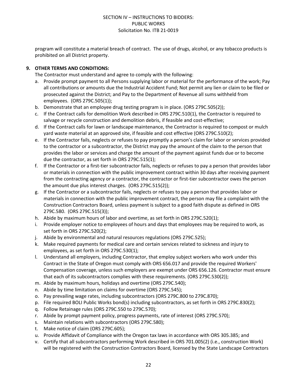program will constitute a material breach of contract. The use of drugs, alcohol, or any tobacco products is prohibited on all District property.

## **9. OTHER TERMS AND CONDITIONS:**

The Contractor must understand and agree to comply with the following:

- a. Provide prompt payment to all Persons supplying labor or material for the performance of the work; Pay all contributions or amounts due the Industrial Accident Fund; Not permit any lien or claim to be filed or prosecuted against the District; and Pay to the Department of Revenue all sums withheld from employees. (ORS 279C.505(1));
- b. Demonstrate that an employee drug testing program is in place. (ORS 279C.505(2));
- c. If the Contract calls for demolition Work described in ORS 279C.510(1), the Contractor is required to salvage or recycle construction and demolition debris, if feasible and cost-effective;
- d. If the Contract calls for lawn or landscape maintenance, the Contractor is required to compost or mulch yard waste material at an approved site, if feasible and cost effective (ORS 279C.510(2);
- e. If the Contractor fails, neglects or refuses to pay promptly a person's claim for labor or services provided to the contractor or a subcontractor, the District may pay the amount of the claim to the person that provides the labor or services and charge the amount of the payment against funds due or to become due the contractor, as set forth in ORS 279C.515(1);
- f. If the Contractor or a first-tier subcontractor fails, neglects or refuses to pay a person that provides labor or materials in connection with the public improvement contract within 30 days after receiving payment from the contracting agency or a contractor, the contractor or first-tier subcontractor owes the person the amount due plus interest charges. (ORS 279C.515(2));
- g. If the Contractor or a subcontractor fails, neglects or refuses to pay a person that provides labor or materials in connection with the public improvement contract, the person may file a complaint with the Construction Contractors Board, unless payment is subject to a good faith dispute as defined in ORS 279C.580. (ORS 279C.515(3));
- h. Abide by maximum hours of labor and overtime, as set forth in ORS 279C.520(1);
- i. Provide employer notice to employees of hours and days that employees may be required to work, as set forth in ORS 279C.520(2);
- j. Abide by environmental and natural resources regulations (ORS 279C.525);
- k. Make required payments for medical care and certain services related to sickness and injury to employees, as set forth in ORS 279C.530(1);
- l. Understand all employers, including Contractor, that employ subject workers who work under this Contract in the State of Oregon must comply with ORS 656.017 and provide the required Workers' Compensation coverage, unless such employers are exempt under ORS 656.126. Contractor must ensure that each of its subcontractors complies with these requirements. (ORS 279C.530(2));
- m. Abide by maximum hours, holidays and overtime (ORS 279C.540);
- n. Abide by time limitation on claims for overtime (ORS 279C.545);
- o. Pay prevailing wage rates, including subcontractors (ORS 279C.800 to 279C.870);
- p. File required BOLI Public Works bond(s) including subcontractors, as set forth in ORS 279C.830(2);
- q. Follow Retainage rules (ORS 279C.550 to 279C.570);
- r. Abide by prompt payment policy, progress payments, rate of interest (ORS 279C.570);
- s. Maintain relations with subcontractors (ORS 279C.580);
- t. Make notice of claim (ORS 279C.605);
- u. Provide Affidavit of Compliance with the Oregon tax laws in accordance with ORS 305.385; and
- v. Certify that all subcontractors performing Work described in ORS 701.005(2) (i.e., construction Work) will be registered with the Construction Contractors Board, licensed by the State Landscape Contractors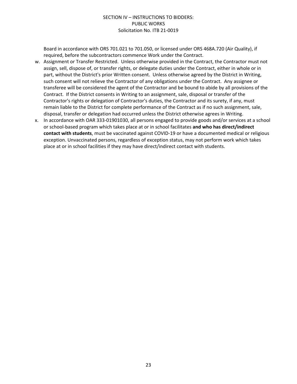Board in accordance with ORS 701.021 to 701.050, or licensed under ORS 468A.720 (Air Quality), if required, before the subcontractors commence Work under the Contract.

- w. Assignment or Transfer Restricted. Unless otherwise provided in the Contract, the Contractor must not assign, sell, dispose of, or transfer rights, or delegate duties under the Contract, either in whole or in part, without the District's prior Written consent. Unless otherwise agreed by the District in Writing, such consent will not relieve the Contractor of any obligations under the Contract. Any assignee or transferee will be considered the agent of the Contractor and be bound to abide by all provisions of the Contract. If the District consents in Writing to an assignment, sale, disposal or transfer of the Contractor's rights or delegation of Contractor's duties, the Contractor and its surety, if any, must remain liable to the District for complete performance of the Contract as if no such assignment, sale, disposal, transfer or delegation had occurred unless the District otherwise agrees in Writing.
- x. In accordance with OAR 333-01901030, all persons engaged to provide goods and/or services at a school or school-based program which takes place at or in school facilitates **and who has direct/indirect contact with students**, must be vaccinated against COVID-19 or have a documented medical or religious exception. Unvaccinated persons, regardless of exception status, may not perform work which takes place at or in school facilities if they may have direct/indirect contact with students.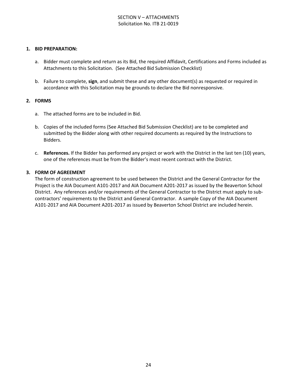## SECTION V – ATTACHMENTS Solicitation No. ITB 21-0019

#### **1. BID PREPARATION:**

- a. Bidder must complete and return as its Bid, the required Affidavit, Certifications and Forms included as Attachments to this Solicitation. (See Attached Bid Submission Checklist)
- b. Failure to complete, **sign**, and submit these and any other document(s) as requested or required in accordance with this Solicitation may be grounds to declare the Bid nonresponsive.

#### **2. FORMS**

- a. The attached forms are to be included in Bid.
- b. Copies of the included forms (See Attached Bid Submission Checklist) are to be completed and submitted by the Bidder along with other required documents as required by the Instructions to Bidders.
- c. **References.** If the Bidder has performed any project or work with the District in the last ten (10) years, one of the references must be from the Bidder's most recent contract with the District.

#### **3. FORM OF AGREEMENT**

The form of construction agreement to be used between the District and the General Contractor for the Project is the AIA Document A101-2017 and AIA Document A201-2017 as issued by the Beaverton School District. Any references and/or requirements of the General Contractor to the District must apply to subcontractors' requirements to the District and General Contractor. A sample Copy of the AIA Document A101-2017 and AIA Document A201-2017 as issued by Beaverton School District are included herein.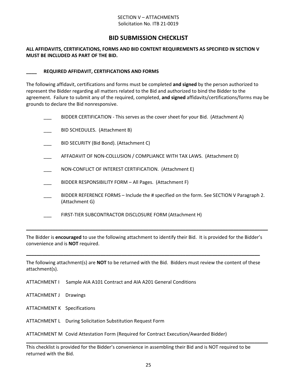#### SECTION V – ATTACHMENTS Solicitation No. ITB 21-0019

## **BID SUBMISSION CHECKLIST**

#### **ALL AFFIDAVITS, CERTIFICATIONS, FORMS AND BID CONTENT REQUIREMENTS AS SPECIFIED IN SECTION V MUST BE INCLUDED AS PART OF THE BID.**

#### **\_\_\_\_ REQUIRED AFFIDAVIT, CERTIFICATIONS AND FORMS**

The following affidavit, certifications and forms must be completed **and signed** by the person authorized to represent the Bidder regarding all matters related to the Bid and authorized to bind the Bidder to the agreement. Failure to submit any of the required, completed, **and signed** affidavits/certifications/forms may be grounds to declare the Bid nonresponsive.

|  | BIDDER CERTIFICATION - This serves as the cover sheet for your Bid. (Attachment A)                         |
|--|------------------------------------------------------------------------------------------------------------|
|  | BID SCHEDULES. (Attachment B)                                                                              |
|  | BID SECURITY (Bid Bond). (Attachment C)                                                                    |
|  | AFFADAVIT OF NON-COLLUSION / COMPLIANCE WITH TAX LAWS. (Attachment D)                                      |
|  | NON-CONFLICT OF INTEREST CERTIFICATION. (Attachment E)                                                     |
|  | BIDDER RESPONSIBILITY FORM - All Pages. (Attachment F)                                                     |
|  | BIDDER REFERENCE FORMS – Include the # specified on the form. See SECTION V Paragraph 2.<br>(Attachment G) |
|  | FIRST-TIER SUBCONTRACTOR DISCLOSURE FORM (Attachment H)                                                    |
|  |                                                                                                            |

The Bidder is **encouraged** to use the following attachment to identify their Bid. It is provided for the Bidder's convenience and is **NOT** required.

The following attachment(s) are **NOT** to be returned with the Bid. Bidders must review the content of these attachment(s).

**\_\_\_\_\_\_\_\_\_\_\_\_\_\_\_\_\_\_\_\_\_\_\_\_\_\_\_\_\_\_\_\_\_\_\_\_\_\_\_\_\_\_\_\_\_\_\_\_\_\_\_\_\_\_\_\_\_\_\_\_\_\_\_\_\_\_\_\_\_\_\_\_\_\_\_\_\_\_\_\_\_\_\_\_\_\_\_\_**

- ATTACHMENT I Sample AIA A101 Contract and AIA A201 General Conditions
- ATTACHMENT J Drawings
- ATTACHMENT K Specifications
- ATTACHMENT L During Solicitation Substitution Request Form

ATTACHMENT M Covid Attestation Form (Required for Contract Execution/Awarded Bidder)

This checklist is provided for the Bidder's convenience in assembling their Bid and is NOT required to be returned with the Bid.

**\_\_\_\_\_\_\_\_\_\_\_\_\_\_\_\_\_\_\_\_\_\_\_\_\_\_\_\_\_\_\_\_\_\_\_\_\_\_\_\_\_\_\_\_\_\_\_\_\_\_\_\_\_\_\_\_\_\_\_\_\_\_\_\_\_\_\_\_\_\_\_\_\_\_\_\_\_\_\_\_\_\_\_\_\_\_\_\_\_\_\_**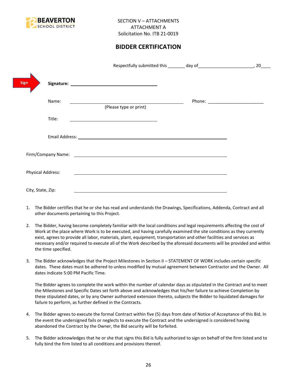

# **BIDDER CERTIFICATION**

|                          |                                                                                                                      | 20 |
|--------------------------|----------------------------------------------------------------------------------------------------------------------|----|
| Sign                     |                                                                                                                      |    |
| Name:                    | (Please type or print)                                                                                               |    |
| Title:                   |                                                                                                                      |    |
|                          |                                                                                                                      |    |
|                          |                                                                                                                      |    |
| <b>Physical Address:</b> | <u> 1989 - Johann Stein, marwolaethau a bhann an chomhair an t-an chomhair an chomhair an chomhair an chomhair a</u> |    |
| City, State, Zip:        |                                                                                                                      |    |

- 1. The Bidder certifies that he or she has read and understands the Drawings, Specifications, Addenda, Contract and all other documents pertaining to this Project.
- 2. The Bidder, having become completely familiar with the local conditions and legal requirements affecting the cost of Work at the place where Work is to be executed, and having carefully examined the site conditions as they currently exist, agrees to provide all labor, materials, plant, equipment, transportation and other facilities and services as necessary and/or required to execute all of the Work described by the aforesaid documents will be provided and within the time specified.
- 3. The Bidder acknowledges that the Project Milestones in Section II STATEMENT OF WORK includes certain specific dates. These dates must be adhered to unless modified by mutual agreement between Contractor and the Owner. All dates indicate 5:00 PM Pacific Time.

The Bidder agrees to complete the work within the number of calendar days as stipulated in the Contract and to meet the Milestones and Specific Dates set forth above and acknowledges that his/her failure to achieve Completion by these stipulated dates, or by any Owner authorized extension thereto, subjects the Bidder to liquidated damages for failure to perform, as further defined in the Contracts.

- 4. The Bidder agrees to execute the formal Contract within five (5) days from date of Notice of Acceptance of this Bid. In the event the undersigned fails or neglects to execute the Contract and the undersigned is considered having abandoned the Contract by the Owner, the Bid security will be forfeited.
- 5. The Bidder acknowledges that he or she that signs this Bid is fully authorized to sign on behalf of the firm listed and to fully bind the firm listed to all conditions and provisions thereof.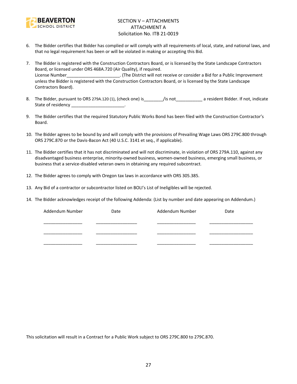

## SECTION V – ATTACHMENTS ATTACHMENT A Solicitation No. ITB 21-0019

- 6. The Bidder certifies that Bidder has complied or will comply with all requirements of local, state, and national laws, and that no legal requirement has been or will be violated in making or accepting this Bid.
- 7. The Bidder is registered with the Construction Contractors Board, or is licensed by the State Landscape Contractors Board, or licensed under ORS 468A.720 (Air Quality), if required. License Number\_\_\_\_\_\_\_\_\_\_\_\_\_\_\_\_\_\_\_\_\_\_. (The District will not receive or consider a Bid for a Public Improvement unless the Bidder is registered with the Construction Contractors Board, or is licensed by the State Landscape Contractors Board).
- 8. The Bidder, pursuant to ORS 279A.120 (1), (check one) is\_\_\_\_\_\_\_\_/is not\_\_\_\_\_\_\_\_\_\_\_ a resident Bidder. If not, indicate State of residency and the state of residency
- 9. The Bidder certifies that the required Statutory Public Works Bond has been filed with the Construction Contractor's Board.
- 10. The Bidder agrees to be bound by and will comply with the provisions of Prevailing Wage Laws ORS 279C.800 through ORS 279C.870 or the Davis-Bacon Act (40 U.S.C. 3141 et seq., if applicable).
- 11. The Bidder certifies that it has not discriminated and will not discriminate, in violation of ORS 279A.110, against any disadvantaged business enterprise, minority-owned business, women-owned business, emerging small business, or business that a service-disabled veteran owns in obtaining any required subcontract.
- 12. The Bidder agrees to comply with Oregon tax laws in accordance with ORS 305.385.
- 13. Any Bid of a contractor or subcontractor listed on BOLI's List of Ineligibles will be rejected.
- 14. The Bidder acknowledges receipt of the following Addenda: (List by number and date appearing on Addendum.)

| Addendum Number | Date | Addendum Number | Date |
|-----------------|------|-----------------|------|
|                 |      |                 |      |
|                 |      |                 |      |
|                 |      |                 |      |

This solicitation will result in a Contract for a Public Work subject to ORS 279C.800 to 279C.870.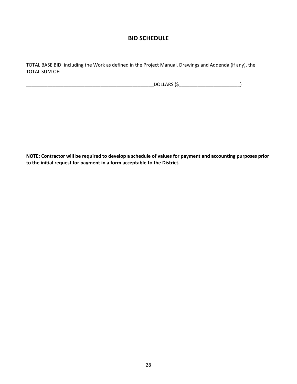# **BID SCHEDULE**

TOTAL BASE BID: including the Work as defined in the Project Manual, Drawings and Addenda (if any), the TOTAL SUM OF:

\_\_\_\_\_\_\_\_\_\_\_\_\_\_\_\_\_\_\_\_\_\_\_\_\_\_\_\_\_\_\_\_\_\_\_\_\_\_\_\_\_\_\_\_\_\_\_\_DOLLARS (\$\_\_\_\_\_\_\_\_\_\_\_\_\_\_\_\_\_\_\_\_\_\_\_)

**NOTE: Contractor will be required to develop a schedule of values for payment and accounting purposes prior to the initial request for payment in a form acceptable to the District.**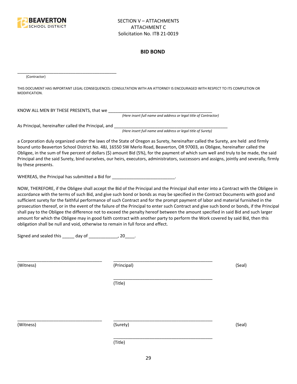

#### **BID BOND**

(Contractor)

THIS DOCUMENT HAS IMPORTANT LEGAL CONSEQUENCES: CONSULTATION WITH AN ATTORNEY IS ENCOURAGED WITH RESPECT TO ITS COMPLETION OR MODIFICATION.

KNOW ALL MEN BY THESE PRESENTS, that we

*(Here insert full name and address or legal title of Contractor)*

As Principal, hereinafter called the Principal, and \_\_\_\_\_\_\_\_\_\_\_\_\_\_\_\_\_\_\_\_\_\_\_\_\_\_\_\_

\_\_\_\_\_\_\_\_\_\_\_\_\_\_\_\_\_\_\_\_\_\_\_\_\_\_\_\_\_\_\_\_\_\_\_\_\_\_\_\_\_

*(Here insert full name and address or legal title of Surety)*

a Corporation duly organized under the laws of the State of Oregon as Surety, hereinafter called the Surety, are held and firmly bound unto Beaverton School District No. 48J, 16550 SW Merlo Road, Beaverton, OR 97003, as Obligee, hereinafter called the Obligee, in the sum of five percent of dollars (\$) amount Bid (5%), for the payment of which sum well and truly to be made, the said Principal and the said Surety, bind ourselves, our heirs, executors, administrators, successors and assigns, jointly and severally, firmly by these presents.

WHEREAS, the Principal has submitted a Bid for \_\_\_\_\_\_\_\_\_\_\_\_\_\_\_\_\_\_\_\_\_\_\_\_\_\_\_\_\_\_\_\_\_

NOW, THEREFORE, if the Obligee shall accept the Bid of the Principal and the Principal shall enter into a Contract with the Obligee in accordance with the terms of such Bid, and give such bond or bonds as may be specified in the Contract Documents with good and sufficient surety for the faithful performance of such Contract and for the prompt payment of labor and material furnished in the prosecution thereof, or in the event of the failure of the Principal to enter such Contract and give such bond or bonds, if the Principal shall pay to the Obligee the difference not to exceed the penalty hereof between the amount specified in said Bid and such larger amount for which the Obligee may in good faith contract with another party to perform the Work covered by said Bid, then this obligation shall be null and void, otherwise to remain in full force and effect.

\_\_\_\_\_\_\_\_\_\_\_\_\_\_\_\_\_\_\_\_\_\_\_\_\_\_\_\_\_\_\_\_\_\_\_\_\_\_\_\_\_

\_\_\_\_\_\_\_\_\_\_\_\_\_\_\_\_\_\_\_\_\_\_\_\_\_\_\_\_\_\_\_\_\_\_\_\_\_\_\_\_\_

Signed and sealed this \_\_\_\_\_ day of \_\_\_\_\_\_\_\_\_\_\_\_, 20\_\_\_\_.

(Witness) (Principal) (Seal)

(Title)

\_\_\_\_\_\_\_\_\_\_\_\_\_\_\_\_\_\_\_\_\_\_\_\_\_\_\_\_\_\_\_\_\_\_\_ \_\_\_\_\_\_\_\_\_\_\_\_\_\_\_\_\_\_\_\_\_\_\_\_\_\_\_\_\_\_\_\_\_\_\_\_\_\_\_\_\_

(Witness) (Surety) (Seal)

\_\_\_\_\_\_\_\_\_\_\_\_\_\_\_\_\_\_\_\_\_\_\_\_\_\_\_\_\_\_\_\_\_\_\_ \_\_\_\_\_\_\_\_\_\_\_\_\_\_\_\_\_\_\_\_\_\_\_\_\_\_\_\_\_\_\_\_\_\_\_\_\_\_\_\_\_

(Title)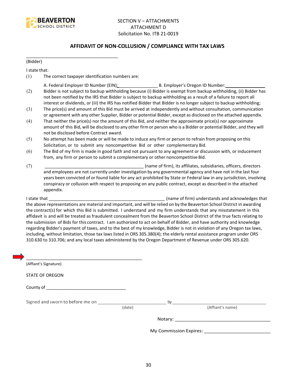

## **AFFIDAVIT OF NON-COLLUSION / COMPLIANCE WITH TAX LAWS**

(Bidder)

I state that:

(1) The correct taxpayer identification numbers are:

\_\_\_\_\_\_\_\_\_\_\_\_\_\_\_\_\_\_\_\_\_\_\_\_\_\_\_\_\_\_\_\_\_\_\_\_\_\_

- A. Federal Employer ID Number (EIN): \_\_\_\_\_\_\_\_\_\_\_\_\_\_\_\_ B. Employer's Oregon ID Number: \_\_\_\_\_\_\_\_\_\_\_\_\_\_\_\_
- (2) Bidder is not subject to backup withholding because (i) Bidder is exempt from backup withholding, (ii) Bidder has not been notified by the IRS that Bidder is subject to backup withholding as a result of a failure to report all interest or dividends, or (iii) the IRS has notified Bidder that Bidder is no longer subject to backup withholding;
- (3) The price(s) and amount of this Bid must be arrived at independently and without consultation, communication or agreement with any other Supplier, Bidder or potential Bidder, except as disclosed on the attached appendix.
- (4) That neither the price(s) nor the amount of this Bid, and neither the approximate price(s) nor approximate amount of this Bid, will be disclosed to any other firm or person who is a Bidder or potential Bidder, and they will not be disclosed before Contract award.
- (5) No attempt has been made or will be made to induce any firm or person to refrain from proposing on this Solicitation, or to submit any noncompetitive Bid or other complementary Bid.
- (6) The Bid of my firm is made in good faith and not pursuant to any agreement or discussion with, or inducement from, any firm or person to submit a complementary or other noncompetitive Bid.
- (7) \_\_\_\_\_\_\_\_\_\_\_\_\_\_\_\_\_\_\_\_\_\_\_\_\_\_\_\_\_\_\_\_\_\_\_\_\_\_\_\_\_ (name of firm), its affiliates, subsidiaries, officers, directors and employees are not currently under investigation by any governmental agency and have not in the last four years been convicted of or found liable for any act prohibited by State or Federal law in any jurisdiction, involving conspiracy or collusion with respect to proposing on any public contract, except as described in the attached appendix.

I state that **I state that**  $\blacksquare$  (name of firm) understands and acknowledges that the above representations are material and important, and will be relied on by the Beaverton School District in awarding the contract(s) for which this Bid is submitted. I understand and my firm understands that any misstatement in this affidavit is and will be treated as fraudulent concealment from the Beaverton School District of the true facts relating to the submission of Bids for this contract. I am authorized to act on behalf of Bidder, and have authority and knowledge regarding Bidder's payment of taxes, and to the best of my knowledge, Bidder is not in violation of any Oregon tax laws, including, without limitation, those tax laws listed in ORS 305.380(4); the elderly rental assistance program under ORS 310.630 to 310.706; and any local taxes administered by the Oregon Department of Revenue under ORS 305.620.

| (Affiant's Signature)            |        |    |                                      |
|----------------------------------|--------|----|--------------------------------------|
| <b>STATE OF OREGON</b>           |        |    |                                      |
|                                  |        |    |                                      |
| Signed and sworn to before me on |        | by |                                      |
|                                  | (date) |    | (Affiant's name)                     |
|                                  |        |    |                                      |
|                                  |        |    | My Commission Expires: _____________ |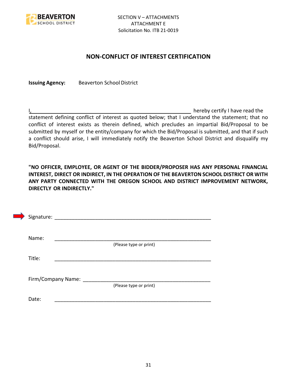

## **NON-CONFLICT OF INTEREST CERTIFICATION**

**Issuing Agency:** Beaverton School District

I, the contract of the contract of the contract of the contract of the hereby certify I have read the statement defining conflict of interest as quoted below; that I understand the statement; that no conflict of interest exists as therein defined, which precludes an impartial Bid/Proposal to be submitted by myself or the entity/company for which the Bid/Proposal is submitted, and that if such a conflict should arise, I will immediately notify the Beaverton School District and disqualify my Bid/Proposal.

**"NO OFFICER, EMPLOYEE, OR AGENT OF THE BIDDER/PROPOSER HAS ANY PERSONAL FINANCIAL INTEREST, DIRECT OR INDIRECT, IN THE OPERATION OF THE BEAVERTON SCHOOL DISTRICT OR WITH ANY PARTY CONNECTED WITH THE OREGON SCHOOL AND DISTRICT IMPROVEMENT NETWORK, DIRECTLY OR INDIRECTLY."**

| Signature: |                    |                        |  |
|------------|--------------------|------------------------|--|
| Name:      |                    |                        |  |
| Title:     |                    | (Please type or print) |  |
|            |                    |                        |  |
|            | Firm/Company Name: | (Please type or print) |  |
| Date:      |                    |                        |  |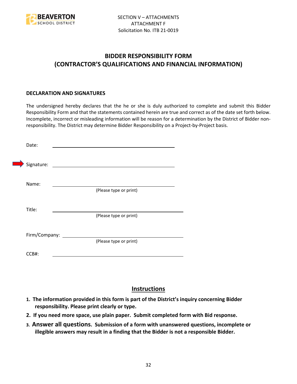

# **BIDDER RESPONSIBILITY FORM (CONTRACTOR'S QUALIFICATIONS AND FINANCIAL INFORMATION)**

## **DECLARATION AND SIGNATURES**

The undersigned hereby declares that the he or she is duly authorized to complete and submit this Bidder Responsibility Form and that the statements contained herein are true and correct as of the date set forth below. Incomplete, incorrect or misleading information will be reason for a determination by the District of Bidder nonresponsibility. The District may determine Bidder Responsibility on a Project-by-Project basis.

| Date:         |                                                             |
|---------------|-------------------------------------------------------------|
| Signature:    | the control of the control of the control of the control of |
| Name:         |                                                             |
|               | (Please type or print)                                      |
| Title:        |                                                             |
|               | (Please type or print)                                      |
| Firm/Company: |                                                             |
|               | (Please type or print)                                      |
| CCB#:         |                                                             |

## **Instructions**

- **1. The information provided in this form is part of the District's inquiry concerning Bidder responsibility. Please print clearly or type.**
- **2. If you need more space, use plain paper. Submit completed form with Bid response.**
- **3. Answer all questions. Submission of a form with unanswered questions, incomplete or illegible answers may result in a finding that the Bidder is not a responsible Bidder.**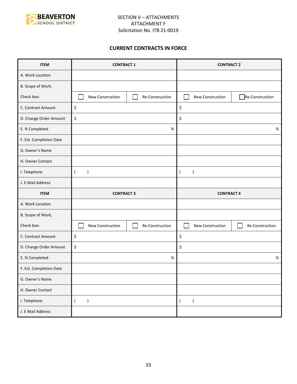

## **CURRENT CONTRACTS IN FORCE**

| <b>ITEM</b>             | <b>CONTRACT 1</b>               |                 | <b>CONTRACT 2</b>             |                 |
|-------------------------|---------------------------------|-----------------|-------------------------------|-----------------|
| A. Work Location        |                                 |                 |                               |                 |
| B. Scope of Work;       |                                 |                 |                               |                 |
| Check box:              | New Construction                | Re-Construction | New Construction              | Re-Construction |
| C. Contract Amount      | \$                              |                 | \$                            |                 |
| D. Change Order Amount  | \$                              |                 | \$                            |                 |
| E. % Completed          |                                 | $\%$            |                               | $\%$            |
| F. Est. Completion Date |                                 |                 |                               |                 |
| G. Owner's Name         |                                 |                 |                               |                 |
| H. Owner Contact        |                                 |                 |                               |                 |
| I. Telephone            | $\overline{(}$<br>$\mathcal{E}$ |                 | $\lambda$<br>$\overline{ }$   |                 |
| J. E-Mail Address       |                                 |                 |                               |                 |
|                         | <b>CONTRACT 3</b>               |                 | <b>CONTRACT 4</b>             |                 |
| <b>ITEM</b>             |                                 |                 |                               |                 |
| A. Work Location        |                                 |                 |                               |                 |
| B. Scope of Work;       |                                 |                 |                               |                 |
| Check box:              | New Construction                | Re-Construction | New Construction              | Re-Construction |
| C. Contract Amount      | \$                              |                 | \$                            |                 |
| D. Change Order Amount  | \$                              |                 | \$                            |                 |
| E. % Completed          |                                 | $\%$            |                               | $\%$            |
| F. Est. Completion Date |                                 |                 |                               |                 |
| G. Owner's Name         |                                 |                 |                               |                 |
| H. Owner Contact        |                                 |                 |                               |                 |
| I. Telephone            | $\overline{(\ }$<br>$\lambda$   |                 | $\lambda$<br>$\overline{(\ }$ |                 |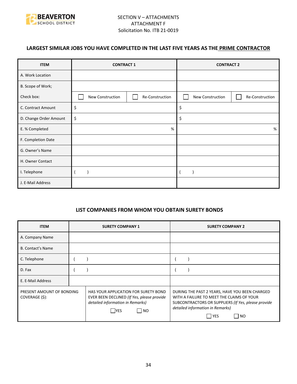

## **LARGEST SIMILAR JOBS YOU HAVE COMPLETED IN THE LAST FIVE YEARS AS THE PRIME CONTRACTOR**

| <b>ITEM</b>            | <b>CONTRACT 1</b> |                 | <b>CONTRACT 2</b> |                 |
|------------------------|-------------------|-----------------|-------------------|-----------------|
| A. Work Location       |                   |                 |                   |                 |
| B. Scope of Work;      |                   |                 |                   |                 |
| Check box:             | New Construction  | Re-Construction | New Construction  | Re-Construction |
| C. Contract Amount     | \$                |                 | \$                |                 |
| D. Change Order Amount | \$                |                 | \$                |                 |
| E. % Completed         | %                 |                 |                   | %               |
| F. Completion Date     |                   |                 |                   |                 |
| G. Owner's Name        |                   |                 |                   |                 |
| H. Owner Contact       |                   |                 |                   |                 |
| I. Telephone           |                   |                 |                   |                 |
| J. E-Mail Address      |                   |                 |                   |                 |

## **LIST COMPANIES FROM WHOM YOU OBTAIN SURETY BONDS**

| <b>ITEM</b>                                 | <b>SURETY COMPANY 1</b>                                                                                                               | <b>SURETY COMPANY 2</b>                                                                                                                                                                                 |  |
|---------------------------------------------|---------------------------------------------------------------------------------------------------------------------------------------|---------------------------------------------------------------------------------------------------------------------------------------------------------------------------------------------------------|--|
| A. Company Name                             |                                                                                                                                       |                                                                                                                                                                                                         |  |
| <b>B. Contact's Name</b>                    |                                                                                                                                       |                                                                                                                                                                                                         |  |
| C. Telephone                                |                                                                                                                                       |                                                                                                                                                                                                         |  |
| D. Fax                                      |                                                                                                                                       |                                                                                                                                                                                                         |  |
| E. E-Mail Address                           |                                                                                                                                       |                                                                                                                                                                                                         |  |
| PRESENT AMOUNT OF BONDING<br>COVERAGE (\$): | HAS YOUR APPLICATION FOR SURETY BOND<br>EVER BEEN DECLINED (If Yes, please provide<br>detailed information in Remarks)<br> NO<br> YES | DURING THE PAST 2 YEARS, HAVE YOU BEEN CHARGED<br>WITH A FAILURE TO MEET THE CLAIMS OF YOUR<br>SUBCONTRACTORS OR SUPPLIERS (If Yes, please provide<br>detailed information in Remarks)<br>  YES<br>  NO |  |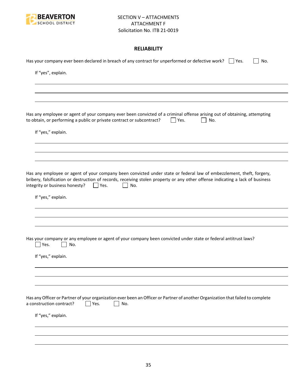

## **RELIABILITY**

| Has your company ever been declared in breach of any contract for unperformed or defective work? $\Box$ Yes.<br>No.                                                                                                                                                                                           |
|---------------------------------------------------------------------------------------------------------------------------------------------------------------------------------------------------------------------------------------------------------------------------------------------------------------|
| If "yes", explain.                                                                                                                                                                                                                                                                                            |
|                                                                                                                                                                                                                                                                                                               |
|                                                                                                                                                                                                                                                                                                               |
| Has any employee or agent of your company ever been convicted of a criminal offense arising out of obtaining, attempting<br>to obtain, or performing a public or private contract or subcontract?<br>Yes.<br>No.                                                                                              |
| If "yes," explain.                                                                                                                                                                                                                                                                                            |
|                                                                                                                                                                                                                                                                                                               |
|                                                                                                                                                                                                                                                                                                               |
| Has any employee or agent of your company been convicted under state or federal law of embezzlement, theft, forgery,<br>bribery, falsification or destruction of records, receiving stolen property or any other offense indicating a lack of business<br>integrity or business honesty?<br>$ $   Yes.<br>No. |
| If "yes," explain.                                                                                                                                                                                                                                                                                            |
|                                                                                                                                                                                                                                                                                                               |
|                                                                                                                                                                                                                                                                                                               |
| Has your company or any employee or agent of your company been convicted under state or federal antitrust laws?<br>Yes.<br>No.                                                                                                                                                                                |
| If "yes," explain.                                                                                                                                                                                                                                                                                            |
|                                                                                                                                                                                                                                                                                                               |
|                                                                                                                                                                                                                                                                                                               |
| Has any Officer or Partner of your organization ever been an Officer or Partner of another Organization that failed to complete<br>a construction contract?<br>Yes.<br>No.                                                                                                                                    |
| If "yes," explain.                                                                                                                                                                                                                                                                                            |
|                                                                                                                                                                                                                                                                                                               |
|                                                                                                                                                                                                                                                                                                               |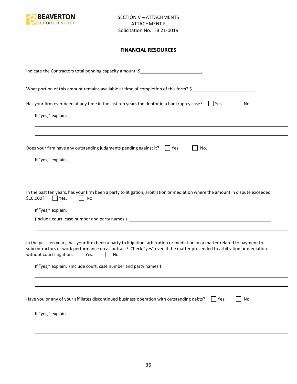

## **FINANCIAL RESOURCES**

| Indicate the Contractors total bonding capacity amount: \$                                                                                                                                                                                                                                                                                                                                |
|-------------------------------------------------------------------------------------------------------------------------------------------------------------------------------------------------------------------------------------------------------------------------------------------------------------------------------------------------------------------------------------------|
| What portion of this amount remains available at time of completion of this form? \$                                                                                                                                                                                                                                                                                                      |
| Has your firm ever been at any time in the last ten years the debtor in a bankruptcy case? $\Box$ Yes.<br>No.<br>If "yes," explain.                                                                                                                                                                                                                                                       |
| Does your firm have any outstanding judgments pending against it? $\Box$ Yes.<br>No.<br>If "yes," explain.                                                                                                                                                                                                                                                                                |
| In the past ten years, has your firm been a party to litigation, arbitration or mediation where the amount in dispute exceeded<br>\$10,000?<br>Yes.<br>No.<br>If "yes," explain.                                                                                                                                                                                                          |
| In the past ten years, has your firm been a party to litigation, arbitration or mediation on a matter related to payment to<br>subcontractors or work performance on a contract? Check "yes" even if the matter proceeded to arbitration or mediation<br>without court litigation. $\Box$ Yes.<br>$\mathbf{L}$<br>No.<br>If "yes," explain. (Include court, case number and party names.) |
| Have you or any of your affiliates discontinued business operation with outstanding debts?<br>No.<br>$ $ Yes.<br>If "yes," explain.                                                                                                                                                                                                                                                       |
|                                                                                                                                                                                                                                                                                                                                                                                           |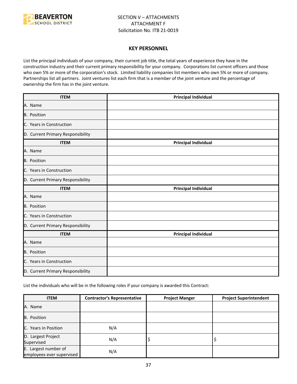

#### **KEY PERSONNEL**

List the principal individuals of your company, their current job title, the total years of experience they have in the construction industry and their current primary responsibility for your company. Corporations list current officers and those who own 5% or more of the corporation's stock. Limited liability companies list members who own 5% or more of company. Partnerships list all partners. Joint ventures list each firm that is a member of the joint venture and the percentage of ownership the firm has in the joint venture.

| <b>ITEM</b>                       | <b>Principal Individual</b> |
|-----------------------------------|-----------------------------|
| A. Name                           |                             |
| B. Position                       |                             |
| C. Years in Construction          |                             |
| D. Current Primary Responsibility |                             |
| <b>ITEM</b>                       | <b>Principal Individual</b> |
| A. Name                           |                             |
| B. Position                       |                             |
| C. Years in Construction          |                             |
| D. Current Primary Responsibility |                             |
| <b>ITEM</b>                       | <b>Principal Individual</b> |
| A. Name                           |                             |
| <b>B.</b> Position                |                             |
| C. Years in Construction          |                             |
| D. Current Primary Responsibility |                             |
| <b>ITEM</b>                       | <b>Principal Individual</b> |
| A. Name                           |                             |
| B. Position                       |                             |
| C. Years in Construction          |                             |
| D. Current Primary Responsibility |                             |

List the individuals who will be in the following roles if your company is awarded this Contract:

| <b>ITEM</b>                                       | <b>Contractor's Representative</b> | <b>Project Manger</b> | <b>Project Superintendent</b> |
|---------------------------------------------------|------------------------------------|-----------------------|-------------------------------|
| A. Name                                           |                                    |                       |                               |
| <b>B.</b> Position                                |                                    |                       |                               |
| C. Years in Position                              | N/A                                |                       |                               |
| D. Largest Project<br>Supervised                  | N/A                                | ∍                     |                               |
| E. Largest number of<br>employees ever supervised | N/A                                |                       |                               |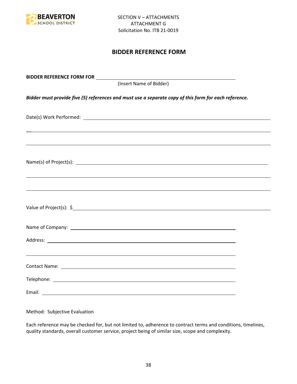

## **BIDDER REFERENCE FORM**

| (Insert Name of Bidder)                                                                               |  |
|-------------------------------------------------------------------------------------------------------|--|
| Bidder must provide five (5) references and must use a separate copy of this form for each reference. |  |
|                                                                                                       |  |
| ,我们也不会有什么。""我们的人,我们也不会有什么?""我们的人,我们也不会有什么?""我们的人,我们也不会有什么?""我们的人,我们也不会有什么?""我们的人                      |  |
|                                                                                                       |  |
| ,我们也不能会有一个人的事情。""我们的人,我们也不能会有一个人的人,我们也不能会有一个人的人,我们也不能会有一个人的人,我们也不能会有一个人的人,我们也不能会                      |  |
|                                                                                                       |  |
|                                                                                                       |  |
|                                                                                                       |  |
|                                                                                                       |  |
|                                                                                                       |  |
|                                                                                                       |  |

Method: Subjective Evaluation

Each reference may be checked for, but not limited to, adherence to contract terms and conditions, timelines, quality standards, overall customer service, project being of similar size, scope and complexity.